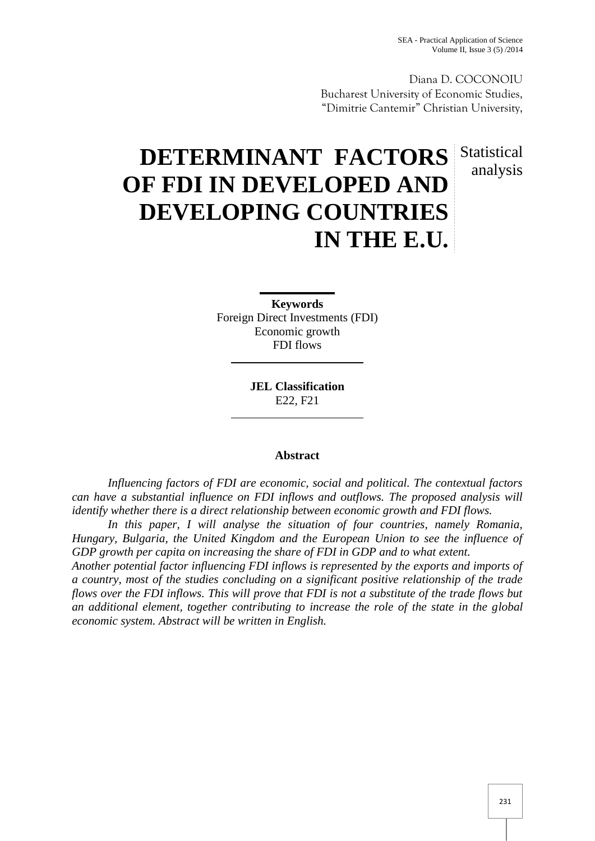Diana D. COCONOIU Bucharest University of Economic Studies, "Dimitrie Cantemir" Christian University,

# **DETERMINANT FACTORS** Statistical **OF FDI IN DEVELOPED AND DEVELOPING COUNTRIES IN THE E.U.** analysis

**Keywords** Foreign Direct Investments (FDI) Economic growth FDI flows

> **JEL Classification** E22, F21

# **Abstract**

*Influencing factors of FDI are economic, social and political. The contextual factors can have a substantial influence on FDI inflows and outflows. The proposed analysis will identify whether there is a direct relationship between economic growth and FDI flows.*

*In this paper, I will analyse the situation of four countries, namely Romania, Hungary, Bulgaria, the United Kingdom and the European Union to see the influence of GDP growth per capita on increasing the share of FDI in GDP and to what extent.*

*Another potential factor influencing FDI inflows is represented by the exports and imports of a country, most of the studies concluding on a significant positive relationship of the trade flows over the FDI inflows. This will prove that FDI is not a substitute of the trade flows but an additional element, together contributing to increase the role of the state in the global economic system. Abstract will be written in English.*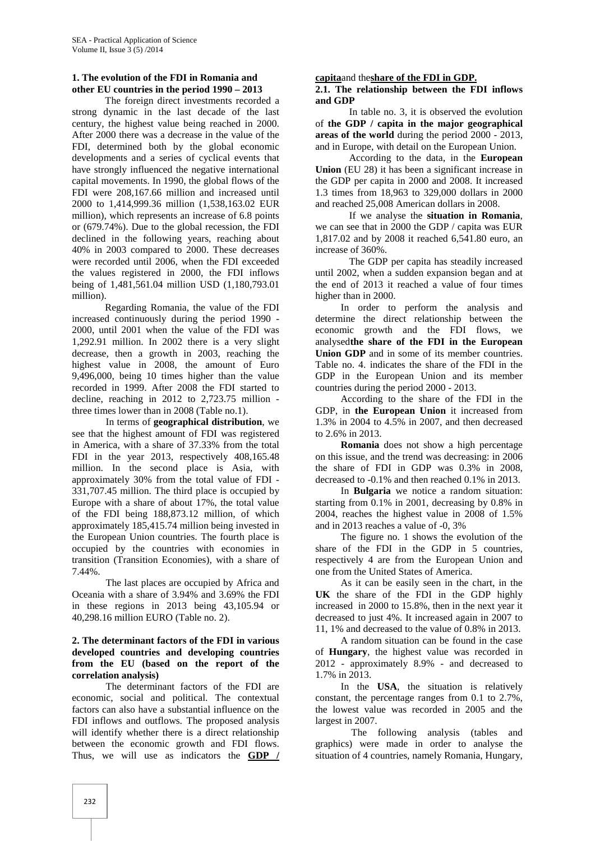# **1. The evolution of the FDI in Romania and other EU countries in the period 1990 – 2013**

The foreign direct investments recorded a strong dynamic in the last decade of the last century, the highest value being reached in 2000. After 2000 there was a decrease in the value of the FDI, determined both by the global economic developments and a series of cyclical events that have strongly influenced the negative international capital movements. In 1990, the global flows of the FDI were 208,167.66 million and increased until 2000 to 1,414,999.36 million (1,538,163.02 EUR million), which represents an increase of 6.8 points or (679.74%). Due to the global recession, the FDI declined in the following years, reaching about 40% in 2003 compared to 2000. These decreases were recorded until 2006, when the FDI exceeded the values registered in 2000, the FDI inflows being of 1,481,561.04 million USD (1,180,793.01 million).

Regarding Romania, the value of the FDI increased continuously during the period 1990 - 2000, until 2001 when the value of the FDI was 1,292.91 million. In 2002 there is a very slight decrease, then a growth in 2003, reaching the highest value in 2008, the amount of Euro 9,496,000, being 10 times higher than the value recorded in 1999. After 2008 the FDI started to decline, reaching in 2012 to 2,723.75 million three times lower than in 2008 (Table no.1).

In terms of **geographical distribution**, we see that the highest amount of FDI was registered in America, with a share of 37.33% from the total FDI in the year 2013, respectively 408,165.48 million. In the second place is Asia, with approximately 30% from the total value of FDI - 331,707.45 million. The third place is occupied by Europe with a share of about 17%, the total value of the FDI being 188,873.12 million, of which approximately 185,415.74 million being invested in the European Union countries. The fourth place is occupied by the countries with economies in transition (Transition Economies), with a share of 7.44%.

The last places are occupied by Africa and Oceania with a share of 3.94% and 3.69% the FDI in these regions in 2013 being 43,105.94 or 40,298.16 million EURO (Table no. 2).

#### **2. The determinant factors of the FDI in various developed countries and developing countries from the EU (based on the report of the correlation analysis)**

The determinant factors of the FDI are economic, social and political. The contextual factors can also have a substantial influence on the FDI inflows and outflows. The proposed analysis will identify whether there is a direct relationship between the economic growth and FDI flows. Thus, we will use as indicators the **GDP /**

#### **capita**and the**share of the FDI in GDP.**

#### **2.1. The relationship between the FDI inflows and GDP**

In table no. 3, it is observed the evolution of **the GDP / capita in the major geographical areas of the world** during the period 2000 - 2013, and in Europe, with detail on the European Union.

According to the data, in the **European Union** (EU 28) it has been a significant increase in the GDP per capita in 2000 and 2008. It increased 1.3 times from 18,963 to 329,000 dollars in 2000 and reached 25,008 American dollars in 2008.

If we analyse the **situation in Romania**, we can see that in 2000 the GDP / capita was EUR 1,817.02 and by 2008 it reached 6,541.80 euro, an increase of 360%.

The GDP per capita has steadily increased until 2002, when a sudden expansion began and at the end of 2013 it reached a value of four times higher than in 2000.

In order to perform the analysis and determine the direct relationship between the economic growth and the FDI flows, we analysed**the share of the FDI in the European Union GDP** and in some of its member countries. Table no. 4. indicates the share of the FDI in the GDP in the European Union and its member countries during the period 2000 - 2013.

According to the share of the FDI in the GDP, in **the European Union** it increased from 1.3% in 2004 to 4.5% in 2007, and then decreased to 2.6% in 2013.

**Romania** does not show a high percentage on this issue, and the trend was decreasing: in 2006 the share of FDI in GDP was 0.3% in 2008, decreased to -0.1% and then reached 0.1% in 2013.

In **Bulgaria** we notice a random situation: starting from 0.1% in 2001, decreasing by 0.8% in 2004, reaches the highest value in 2008 of 1.5% and in 2013 reaches a value of -0, 3%

The figure no. 1 shows the evolution of the share of the FDI in the GDP in 5 countries, respectively 4 are from the European Union and one from the United States of America.

As it can be easily seen in the chart, in the **UK** the share of the FDI in the GDP highly increased in 2000 to 15.8%, then in the next year it decreased to just 4%. It increased again in 2007 to 11, 1% and decreased to the value of 0.8% in 2013.

A random situation can be found in the case of **Hungary**, the highest value was recorded in 2012 - approximately 8.9% - and decreased to 1.7% in 2013.

In the **USA**, the situation is relatively constant, the percentage ranges from 0.1 to 2.7%, the lowest value was recorded in 2005 and the largest in 2007.

The following analysis (tables and graphics) were made in order to analyse the situation of 4 countries, namely Romania, Hungary,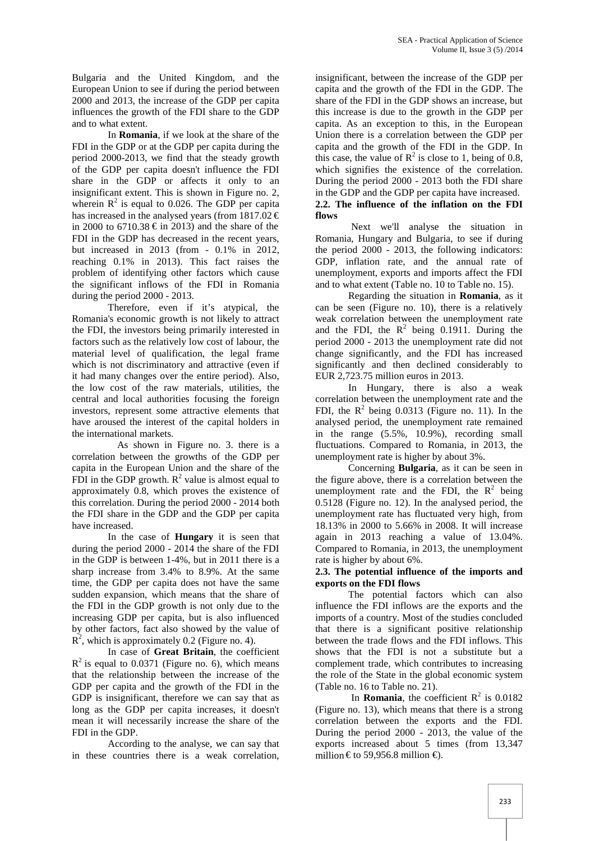Bulgaria and the United Kingdom, and the European Union to see if during the period between 2000 and 2013, the increase of the GDP per capita influences the growth of the FDI share to the GDP and to what extent.

In **Romania**, if we look at the share of the FDI in the GDP or at the GDP per capita during the period 2000-2013, we find that the steady growth of the GDP per capita doesn't influence the FDI share in the GDP or affects it only to an insignificant extent. This is shown in Figure no. 2, wherein  $\mathbb{R}^2$  is equal to 0.026. The GDP per capita has increased in the analysed years (from  $1817.02 \in$ in 2000 to 6710.38  $\text{€}$  in 2013) and the share of the FDI in the GDP has decreased in the recent years, but increased in 2013 (from - 0.1% in 2012, reaching 0.1% in 2013). This fact raises the problem of identifying other factors which cause the significant inflows of the FDI in Romania during the period 2000 - 2013.

Therefore, even if it's atypical, the Romania's economic growth is not likely to attract the FDI, the investors being primarily interested in factors such as the relatively low cost of labour, the material level of qualification, the legal frame which is not discriminatory and attractive (even if it had many changes over the entire period). Also, the low cost of the raw materials, utilities, the central and local authorities focusing the foreign investors, represent some attractive elements that have aroused the interest of the capital holders in the international markets.

As shown in Figure no. 3. there is a correlation between the growths of the GDP per capita in the European Union and the share of the FDI in the GDP growth.  $R^2$  value is almost equal to approximately 0.8, which proves the existence of this correlation. During the period 2000 - 2014 both the FDI share in the GDP and the GDP per capita have increased.

In the case of **Hungary** it is seen that during the period 2000 - 2014 the share of the FDI in the GDP is between 1-4%, but in 2011 there is a sharp increase from 3.4% to 8.9%. At the same time, the GDP per capita does not have the same sudden expansion, which means that the share of the FDI in the GDP growth is not only due to the increasing GDP per capita, but is also influenced by other factors, fact also showed by the value of  $\mathbb{R}^2$ , which is approximately 0.2 (Figure no. 4).

In case of **Great Britain**, the coefficient  $R^2$  is equal to 0.0371 (Figure no. 6), which means that the relationship between the increase of the GDP per capita and the growth of the FDI in the GDP is insignificant, therefore we can say that as long as the GDP per capita increases, it doesn't mean it will necessarily increase the share of the FDI in the GDP.

According to the analyse, we can say that in these countries there is a weak correlation,

insignificant, between the increase of the GDP per capita and the growth of the FDI in the GDP. The share of the FDI in the GDP shows an increase, but this increase is due to the growth in the GDP per capita. As an exception to this, in the European Union there is a correlation between the GDP per capita and the growth of the FDI in the GDP. In this case, the value of  $\mathbb{R}^2$  is close to 1, being of 0.8, which signifies the existence of the correlation. During the period 2000 - 2013 both the FDI share in the GDP and the GDP per capita have increased. **2.2. The influence of the inflation on the FDI flows**

Next we'll analyse the situation in Romania, Hungary and Bulgaria, to see if during the period 2000 - 2013, the following indicators: GDP, inflation rate, and the annual rate of unemployment, exports and imports affect the FDI and to what extent (Table no. 10 to Table no. 15).

Regarding the situation in **Romania**, as it can be seen (Figure no. 10), there is a relatively weak correlation between the unemployment rate and the FDI, the  $R^2$  being 0.1911. During the period 2000 - 2013 the unemployment rate did not change significantly, and the FDI has increased significantly and then declined considerably to EUR 2,723.75 million euros in 2013.

In Hungary, there is also a weak correlation between the unemployment rate and the FDI, the  $R^2$  being 0.0313 (Figure no. 11). In the analysed period, the unemployment rate remained in the range (5.5%, 10.9%), recording small fluctuations. Compared to Romania, in 2013, the unemployment rate is higher by about 3%.

Concerning **Bulgaria**, as it can be seen in the figure above, there is a correlation between the unemployment rate and the FDI, the  $R^2$  being 0.5128 (Figure no. 12). In the analysed period, the unemployment rate has fluctuated very high, from 18.13% in 2000 to 5.66% in 2008. It will increase again in 2013 reaching a value of 13.04%. Compared to Romania, in 2013, the unemployment rate is higher by about 6%.

### **2.3. The potential influence of the imports and exports on the FDI flows**

The potential factors which can also influence the FDI inflows are the exports and the imports of a country. Most of the studies concluded that there is a significant positive relationship between the trade flows and the FDI inflows. This shows that the FDI is not a substitute but a complement trade, which contributes to increasing the role of the State in the global economic system (Table no. 16 to Table no. 21).

In **Romania**, the coefficient  $R^2$  is 0.0182 (Figure no. 13), which means that there is a strong correlation between the exports and the FDI. During the period 2000 - 2013, the value of the exports increased about 5 times (from 13,347 million € to 59,956.8 million  $\oplus$ .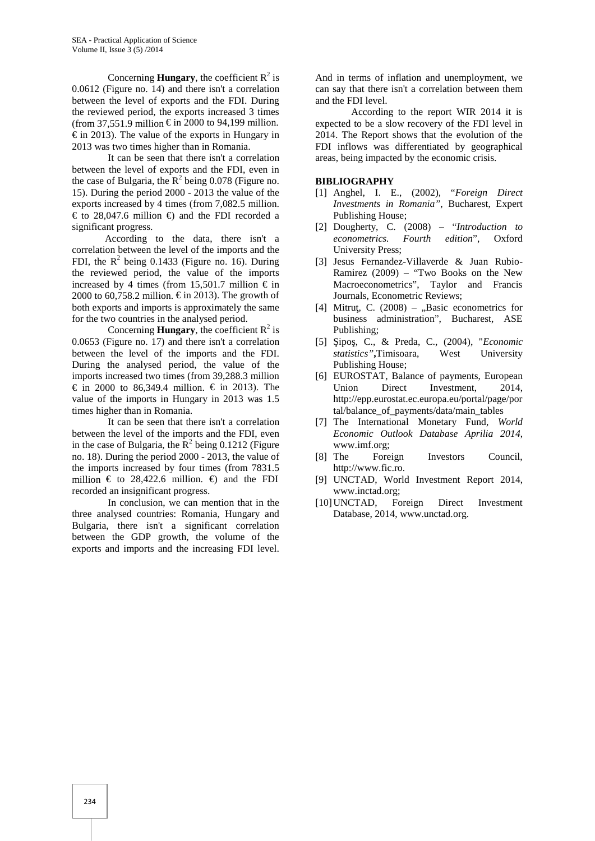Concerning **Hungary**, the coefficient  $R^2$  is 0.0612 (Figure no. 14) and there isn't a correlation between the level of exports and the FDI. During the reviewed period, the exports increased 3 times (from 37,551.9 million  $\epsilon$  in 2000 to 94,199 million.  $\epsilon$  in 2013). The value of the exports in Hungary in 2013 was two times higher than in Romania.

It can be seen that there isn't a correlation between the level of exports and the FDI, even in the case of Bulgaria, the  $R^2$  being 0.078 (Figure no. 15). During the period 2000 - 2013 the value of the exports increased by 4 times (from 7,082.5 million. € to 28,047.6 million €) and the FDI recorded a significant progress.

According to the data, there isn't a correlation between the level of the imports and the FDI, the  $R^2$  being 0.1433 (Figure no. 16). During the reviewed period, the value of the imports increased by 4 times (from 15,501.7 million  $\epsilon$  in 2000 to 60,758.2 million.  $\epsilon$  in 2013). The growth of both exports and imports is approximately the same for the two countries in the analysed period.

Concerning **Hungary**, the coefficient  $R^2$  is 0.0653 (Figure no. 17) and there isn't a correlation between the level of the imports and the FDI. During the analysed period, the value of the imports increased two times (from 39,288.3 million € in 2000 to 86,349.4 million. € in 2013). The value of the imports in Hungary in 2013 was 1.5 times higher than in Romania.

It can be seen that there isn't a correlation between the level of the imports and the FDI, even in the case of Bulgaria, the  $R^2$  being 0.1212 (Figure no. 18). During the period 2000 - 2013, the value of the imports increased by four times (from 7831.5 million  $\epsilon$  to 28,422.6 million.  $\epsilon$  and the FDI recorded an insignificant progress.

In conclusion, we can mention that in the three analysed countries: Romania, Hungary and Bulgaria, there isn't a significant correlation between the GDP growth, the volume of the exports and imports and the increasing FDI level.

And in terms of inflation and unemployment, we can say that there isn't a correlation between them and the FDI level.

According to the report WIR 2014 it is expected to be a slow recovery of the FDI level in 2014. The Report shows that the evolution of the FDI inflows was differentiated by geographical areas, being impacted by the economic crisis.

#### **BIBLIOGRAPHY**

- [1] Anghel, I. E., (2002), "*Foreign Direct Investments in Romania"*, Bucharest, Expert Publishing House;
- [2] Dougherty, C. (2008) "*Introduction to econometrics. Fourth edition*", Oxford University Press;
- [3] Jesus Fernandez-Villaverde & Juan Rubio- Ramirez (2009) – "Two Books on the New Macroeconometrics", Taylor and Francis Journals, Econometric Reviews;
- [4] Mitru, C.  $(2008)$  "Basic econometrics for business administration", Bucharest, ASE Publishing;
- [5] Şipoş, C., & Preda, C., (2004), "*Economic statistics"***,**Timisoara, West University Publishing House;
- [6] EUROSTAT, Balance of payments, European Union Direct Investment, 2014, http://epp.eurostat.ec.europa.eu/portal/page/por tal/balance\_of\_payments/data/main\_tables
- [7] The International Monetary Fund, *World Economic Outlook Database Aprilia 2014*, www.imf.org;
- [8] The Foreign Investors Council, http://www.fic.ro.
- [9] UNCTAD, World Investment Report 2014, www.inctad.org;
- [10]UNCTAD, Foreign Direct Investment Database, 2014, www.unctad.org.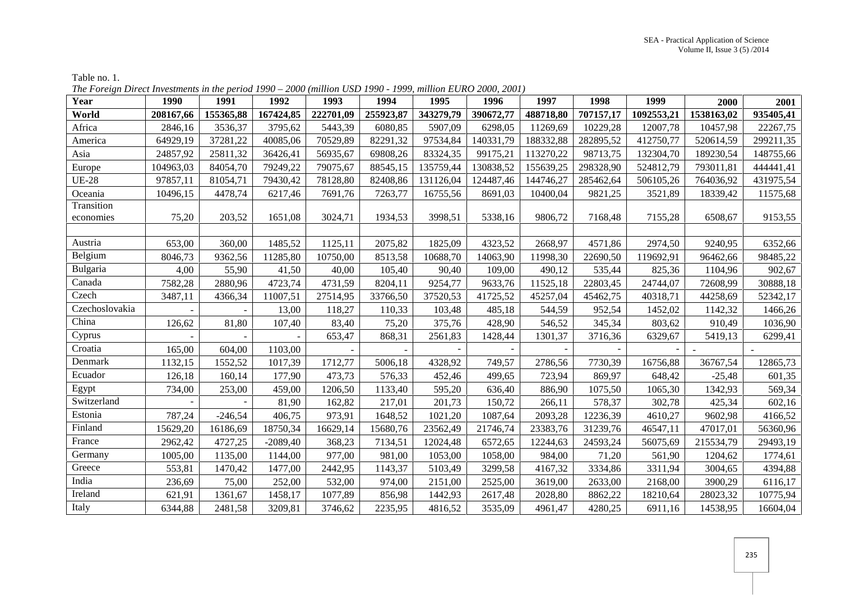| Year                    | 1990      | 1991      | 1992       | 1993      | 1994      | 1995      | 1996      | 1997      | 1998      | 1999       | 2000       | 2001      |
|-------------------------|-----------|-----------|------------|-----------|-----------|-----------|-----------|-----------|-----------|------------|------------|-----------|
| World                   | 208167,66 | 155365,88 | 167424,85  | 222701,09 | 255923,87 | 343279,79 | 390672,77 | 488718,80 | 707157,17 | 1092553,21 | 1538163,02 | 935405,41 |
| Africa                  | 2846,16   | 3536,37   | 3795,62    | 5443,39   | 6080,85   | 5907,09   | 6298,05   | 11269,69  | 10229,28  | 12007,78   | 10457,98   | 22267,75  |
| America                 | 64929,19  | 37281,22  | 40085,06   | 70529,89  | 82291,32  | 97534,84  | 140331,79 | 188332,88 | 282895,52 | 412750,77  | 520614,59  | 299211,35 |
| Asia                    | 24857,92  | 25811,32  | 36426,41   | 56935,67  | 69808,26  | 83324,35  | 99175,21  | 113270,22 | 98713,75  | 132304,70  | 189230,54  | 148755,66 |
| Europe                  | 104963,03 | 84054,70  | 79249,22   | 79075,67  | 88545,15  | 135759,44 | 130838,52 | 155639,25 | 298328,90 | 524812,79  | 793011,81  | 444441,41 |
| <b>UE-28</b>            | 97857,11  | 81054,71  | 79430,42   | 78128,80  | 82408,86  | 131126,04 | 124487,46 | 144746,27 | 285462,64 | 506105,26  | 764036,92  | 431975,54 |
| Oceania                 | 10496,15  | 4478,74   | 6217,46    | 7691,76   | 7263,77   | 16755,56  | 8691,03   | 10400,04  | 9821,25   | 3521,89    | 18339,42   | 11575,68  |
| Transition<br>economies | 75,20     | 203,52    | 1651,08    | 3024,71   | 1934,53   | 3998,51   | 5338,16   | 9806,72   | 7168,48   | 7155,28    | 6508,67    | 9153,55   |
| Austria                 | 653,00    | 360,00    | 1485,52    | 1125,11   | 2075,82   | 1825,09   | 4323,52   | 2668,97   | 4571,86   | 2974,50    | 9240,95    | 6352,66   |
| Belgium                 | 8046,73   | 9362,56   | 11285,80   | 10750,00  | 8513,58   | 10688,70  | 14063,90  | 11998,30  | 22690,50  | 119692,91  | 96462,66   | 98485,22  |
| Bulgaria                | 4,00      | 55,90     | 41,50      | 40,00     | 105,40    | 90,40     | 109,00    | 490,12    | 535,44    | 825,36     | 1104,96    | 902,67    |
| Canada                  | 7582,28   | 2880,96   | 4723,74    | 4731,59   | 8204,11   | 9254,77   | 9633,76   | 11525,18  | 22803,45  | 24744,07   | 72608,99   | 30888,18  |
| Czech                   | 3487,11   | 4366,34   | 11007,51   | 27514,95  | 33766,50  | 37520,53  | 41725,52  | 45257,04  | 45462,75  | 40318,71   | 44258,69   | 52342,17  |
| Czechoslovakia          |           |           | 13,00      | 118,27    | 110,33    | 103,48    | 485,18    | 544,59    | 952,54    | 1452,02    | 1142,32    | 1466,26   |
| China                   | 126,62    | 81,80     | 107,40     | 83,40     | 75,20     | 375,76    | 428,90    | 546,52    | 345,34    | 803,62     | 910,49     | 1036,90   |
| Cyprus                  |           |           |            | 653,47    | 868,31    | 2561,83   | 1428,44   | 1301,37   | 3716,36   | 6329,67    | 5419,13    | 6299,41   |
| Croatia                 | 165,00    | 604,00    | 1103,00    |           |           |           |           |           |           |            | $\sim$     |           |
| Denmark                 | 1132,15   | 1552,52   | 1017,39    | 1712,77   | 5006,18   | 4328,92   | 749,57    | 2786,56   | 7730,39   | 16756,88   | 36767,54   | 12865,73  |
| Ecuador                 | 126,18    | 160,14    | 177,90     | 473,73    | 576,33    | 452,46    | 499,65    | 723,94    | 869,97    | 648,42     | $-25,48$   | 601,35    |
| Egypt                   | 734,00    | 253,00    | 459,00     | 1206,50   | 1133,40   | 595,20    | 636,40    | 886,90    | 1075,50   | 1065,30    | 1342,93    | 569,34    |
| Switzerland             |           |           | 81,90      | 162,82    | 217,01    | 201,73    | 150,72    | 266,11    | 578,37    | 302,78     | 425,34     | 602,16    |
| Estonia                 | 787,24    | $-246,54$ | 406,75     | 973,91    | 1648,52   | 1021,20   | 1087,64   | 2093,28   | 12236,39  | 4610,27    | 9602,98    | 4166,52   |
| Finland                 | 15629,20  | 16186,69  | 18750,34   | 16629,14  | 15680,76  | 23562,49  | 21746,74  | 23383,76  | 31239,76  | 46547,11   | 47017,01   | 56360,96  |
| France                  | 2962,42   | 4727,25   | $-2089,40$ | 368,23    | 7134,51   | 12024,48  | 6572,65   | 12244,63  | 24593,24  | 56075,69   | 215534,79  | 29493,19  |
| Germany                 | 1005,00   | 1135,00   | 1144,00    | 977,00    | 981,00    | 1053,00   | 1058,00   | 984,00    | 71,20     | 561,90     | 1204,62    | 1774,61   |
| Greece                  | 553,81    | 1470,42   | 1477,00    | 2442,95   | 1143,37   | 5103,49   | 3299,58   | 4167,32   | 3334,86   | 3311,94    | 3004,65    | 4394,88   |
| India                   | 236,69    | 75,00     | 252,00     | 532,00    | 974,00    | 2151,00   | 2525,00   | 3619,00   | 2633,00   | 2168,00    | 3900,29    | 6116,17   |
| Ireland                 | 621,91    | 1361,67   | 1458,17    | 1077,89   | 856,98    | 1442,93   | 2617,48   | 2028,80   | 8862,22   | 18210,64   | 28023,32   | 10775,94  |
| Italy                   | 6344,88   | 2481,58   | 3209,81    | 3746,62   | 2235,95   | 4816,52   | 3535,09   | 4961,47   | 4280,25   | 6911,16    | 14538,95   | 16604,04  |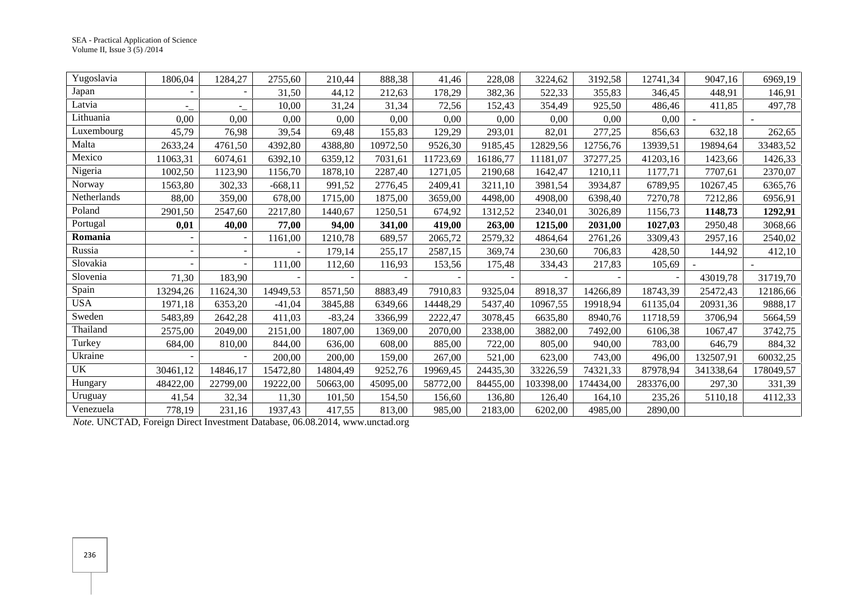| Yugoslavia  | 1806,04                  | 1284,27                  | 2755,60   | 210,44   | 888,38   | 41,46    | 228,08   | 3224,62   | 3192,58   | 12741,34  | 9047,16   | 6969,19   |
|-------------|--------------------------|--------------------------|-----------|----------|----------|----------|----------|-----------|-----------|-----------|-----------|-----------|
| Japan       | $\overline{a}$           | $\overline{\phantom{a}}$ | 31,50     | 44,12    | 212,63   | 178,29   | 382,36   | 522,33    | 355,83    | 346.45    | 448,91    | 146,91    |
| Latvia      | ۳.                       | $\overline{\phantom{a}}$ | 10,00     | 31,24    | 31,34    | 72,56    | 152,43   | 354,49    | 925,50    | 486,46    | 411,85    | 497,78    |
| Lithuania   | 0,00                     | 0,00                     | 0,00      | 0,00     | 0,00     | 0,00     | 0,00     | 0,00      | 0,00      | 0,00      |           |           |
| Luxembourg  | 45,79                    | 76,98                    | 39,54     | 69,48    | 155,83   | 129,29   | 293,01   | 82,01     | 277,25    | 856,63    | 632,18    | 262,65    |
| Malta       | 2633,24                  | 4761,50                  | 4392,80   | 4388,80  | 10972,50 | 9526,30  | 9185,45  | 12829,56  | 12756,76  | 13939,51  | 19894,64  | 33483,52  |
| Mexico      | 11063,31                 | 6074,61                  | 6392,10   | 6359,12  | 7031,61  | 11723,69 | 16186,77 | 11181,07  | 37277,25  | 41203,16  | 1423,66   | 1426,33   |
| Nigeria     | 1002,50                  | 1123,90                  | 1156,70   | 1878,10  | 2287,40  | 1271,05  | 2190,68  | 1642,47   | 1210,11   | 1177,71   | 7707,61   | 2370,07   |
| Norway      | 1563,80                  | 302,33                   | $-668,11$ | 991,52   | 2776,45  | 2409,41  | 3211,10  | 3981,54   | 3934,87   | 6789,95   | 10267,45  | 6365,76   |
| Netherlands | 88,00                    | 359,00                   | 678,00    | 1715,00  | 1875,00  | 3659,00  | 4498,00  | 4908,00   | 6398,40   | 7270,78   | 7212,86   | 6956.91   |
| Poland      | 2901,50                  | 2547,60                  | 2217,80   | 1440,67  | 1250,51  | 674,92   | 1312,52  | 2340,01   | 3026,89   | 1156,73   | 1148,73   | 1292,91   |
| Portugal    | 0,01                     | 40,00                    | 77,00     | 94,00    | 341,00   | 419,00   | 263,00   | 1215,00   | 2031,00   | 1027,03   | 2950,48   | 3068,66   |
| Romania     |                          |                          | 1161,00   | 1210,78  | 689,57   | 2065,72  | 2579,32  | 4864,64   | 2761,26   | 3309,43   | 2957,16   | 2540,02   |
| Russia      | $\overline{\phantom{a}}$ |                          |           | 179,14   | 255,17   | 2587,15  | 369,74   | 230,60    | 706,83    | 428,50    | 144,92    | 412,10    |
| Slovakia    |                          |                          | 111,00    | 112,60   | 116,93   | 153,56   | 175,48   | 334,43    | 217,83    | 105,69    |           |           |
| Slovenia    | 71,30                    | 183,90                   |           |          |          |          |          |           |           |           | 43019,78  | 31719,70  |
| Spain       | 13294,26                 | 11624,30                 | 14949,53  | 8571,50  | 8883,49  | 7910,83  | 9325,04  | 8918,37   | 14266,89  | 18743,39  | 25472,43  | 12186,66  |
| <b>USA</b>  | 1971,18                  | 6353,20                  | $-41,04$  | 3845,88  | 6349,66  | 14448,29 | 5437,40  | 10967,55  | 19918,94  | 61135,04  | 20931,36  | 9888,17   |
| Sweden      | 5483,89                  | 2642,28                  | 411,03    | $-83,24$ | 3366,99  | 2222,47  | 3078,45  | 6635,80   | 8940,76   | 11718,59  | 3706,94   | 5664,59   |
| Thailand    | 2575,00                  | 2049,00                  | 2151,00   | 1807,00  | 1369,00  | 2070,00  | 2338,00  | 3882,00   | 7492,00   | 6106,38   | 1067,47   | 3742,75   |
| Turkey      | 684,00                   | 810,00                   | 844,00    | 636,00   | 608,00   | 885,00   | 722,00   | 805,00    | 940,00    | 783,00    | 646,79    | 884,32    |
| Ukraine     |                          |                          | 200,00    | 200,00   | 159,00   | 267,00   | 521,00   | 623,00    | 743,00    | 496,00    | 132507,91 | 60032,25  |
| <b>UK</b>   | 30461,12                 | 14846,17                 | 15472,80  | 14804,49 | 9252,76  | 19969,45 | 24435,30 | 33226,59  | 74321,33  | 87978,94  | 341338,64 | 178049,57 |
| Hungary     | 48422,00                 | 22799,00                 | 19222,00  | 50663,00 | 45095,00 | 58772,00 | 84455,00 | 103398,00 | 174434,00 | 283376,00 | 297,30    | 331,39    |
| Uruguay     | 41,54                    | 32,34                    | 11,30     | 101,50   | 154,50   | 156,60   | 136,80   | 126,40    | 164,10    | 235,26    | 5110,18   | 4112,33   |
| Venezuela   | 778,19                   | 231,16                   | 1937,43   | 417,55   | 813,00   | 985,00   | 2183,00  | 6202,00   | 4985,00   | 2890,00   |           |           |

*Note.* UNCTAD, Foreign Direct Investment Database, 06.08.2014, www.unctad.org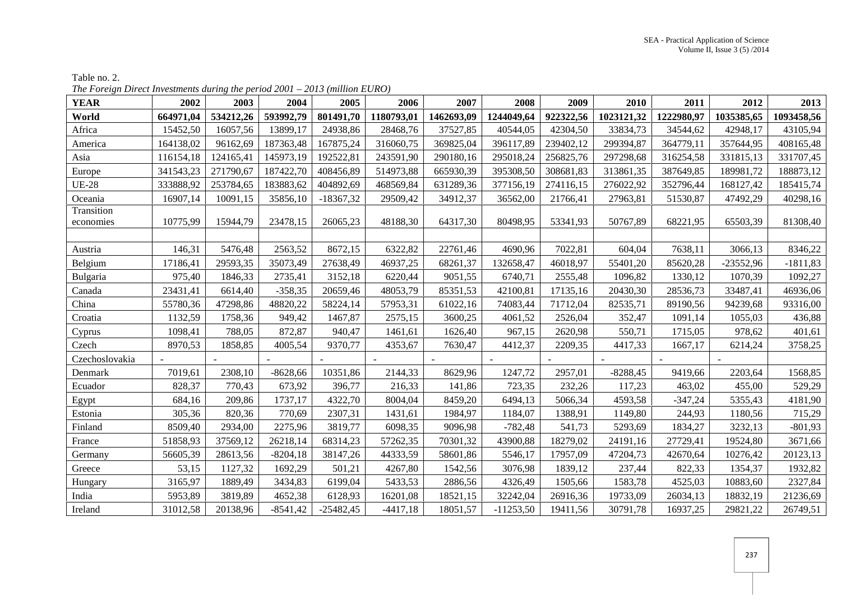| <b>YEAR</b>                 | 2002                           | 2003                           | 2004                             | 2005                              | 2006                              | 2007                            | 2008                               | 2009                            | 2010                            | 2011                            | 2012                             | 2013                            |
|-----------------------------|--------------------------------|--------------------------------|----------------------------------|-----------------------------------|-----------------------------------|---------------------------------|------------------------------------|---------------------------------|---------------------------------|---------------------------------|----------------------------------|---------------------------------|
| World                       | 664971,04                      | 534212,26                      | 593992,79                        | 801491,70                         | 1180793,01                        | 1462693,09                      | 1244049,64                         | 922322,56                       | 1023121,32                      | 1222980,97                      | 1035385,65                       | 1093458,56                      |
| Africa                      | 15452,50                       | 16057,56                       | 13899,17                         | 24938,86                          | 28468,76                          | 37527,85                        | 40544,05                           | 42304,50                        | 33834,73                        | 34544,62                        | 42948,17                         | 43105,94                        |
| America                     | 164138,02                      | 96162,69                       | 187363,48                        | 167875,24                         | 316060,75                         | 369825,04                       | 396117,89                          | 239402,12                       | 299394,87                       | 364779,11                       | 357644,95                        | 408165,48                       |
| Asia                        | 116154,18                      | 124165,41                      | 145973,19                        | 192522,81                         | 243591,90                         | 290180,16                       | 295018,24                          | 256825,76                       | 297298,68                       | 316254,58                       | 331815,13                        | 331707,45                       |
| Europe                      | 341543,23                      | 271790,67                      | 187422,70                        | 408456,89                         | 514973,88                         | 665930,39                       | 395308,50                          | 308681,83                       | 313861,35                       | 387649,85                       | 189981,72                        | 188873,12                       |
| <b>UE-28</b>                | 333888,92                      | 253784,65                      | 183883,62                        | 404892,69                         | 468569,84                         | 631289,36                       | 377156,19                          | 274116,15                       | 276022,92                       | 352796,44                       | 168127,42                        | 185415,74                       |
| Oceania                     | 16907,14                       | 10091,15                       | 35856,10                         | $-18367,32$                       | 29509,42                          | 34912,37                        | 36562,00                           | 21766,41                        | 27963,81                        | 51530,87                        | 47492,29                         | 40298,16                        |
| Transition<br>economies     | 10775,99                       | 15944,79                       | 23478,15                         | 26065,23                          | 48188,30                          | 64317,30                        | 80498,95                           | 53341,93                        | 50767,89                        | 68221,95                        | 65503,39                         | 81308,40                        |
|                             |                                | 5476,48                        |                                  | 8672,15                           | 6322,82                           | 22761,46                        | 4690,96                            | 7022,81                         | 604,04                          | 7638,11                         | 3066,13                          |                                 |
| Austria<br>Belgium          | 146,31<br>17186,41             | 29593,35                       | 2563,52<br>35073,49              | 27638,49                          | 46937,25                          | 68261,37                        | 132658,47                          | 46018,97                        | 55401,20                        | 85620,28                        | $-23552,96$                      | 8346,22<br>$-1811,83$           |
| Bulgaria                    | 975,40                         | 1846,33                        | 2735,41                          | 3152,18                           | 6220,44                           | 9051,55                         | 6740,71                            | 2555,48                         | 1096,82                         | 1330,12                         | 1070,39                          | 1092,27                         |
|                             | 23431,41                       | 6614,40                        | $-358,35$                        | 20659,46                          |                                   | 85351,53                        |                                    | 17135,16                        |                                 |                                 | 33487,41                         |                                 |
| Canada<br>China             |                                | 47298,86                       | 48820,22                         | 58224,14                          | 48053,79                          |                                 | 42100,81                           |                                 | 20430,30                        | 28536,73                        | 94239,68                         | 46936,06<br>93316,00            |
| Croatia                     | 55780,36<br>1132,59            |                                | 949,42                           |                                   | 57953,31                          | 61022,16<br>3600,25             | 74083,44                           | 71712,04                        | 82535,71                        | 89190,56                        |                                  |                                 |
|                             |                                | 1758,36                        |                                  | 1467,87                           | 2575,15                           |                                 | 4061,52                            | 2526,04                         | 352,47                          | 1091,14                         | 1055,03                          | 436,88                          |
| Cyprus                      | 1098,41                        | 788,05                         | 872,87                           | 940,47                            | 1461,61                           | 1626,40                         | 967,15                             | 2620,98                         | 550,71                          | 1715,05                         | 978,62                           | 401,61                          |
| Czech<br>Czechoslovakia     | 8970,53                        | 1858,85                        | 4005,54                          | 9370,77                           | 4353,67                           | 7630,47                         | 4412,37                            | 2209,35                         | 4417,33                         | 1667,17                         | 6214,24                          | 3758,25                         |
| Denmark                     | 7019,61                        | 2308,10                        | $-8628,66$                       | 10351,86                          | 2144,33                           | 8629,96                         | 1247,72                            | 2957,01                         | $-8288,45$                      | 9419,66                         | 2203,64                          |                                 |
| Ecuador                     | 828,37                         | 770,43                         | 673,92                           | 396,77                            | 216,33                            | 141,86                          | 723,35                             | 232,26                          | 117,23                          | 463,02                          | 455,00                           | 1568,85<br>529,29               |
| Egypt                       | 684,16                         | 209,86                         | 1737,17                          | 4322,70                           | 8004,04                           | 8459,20                         | 6494,13                            | 5066,34                         | 4593,58                         | $-347,24$                       | 5355,43                          | 4181,90                         |
| Estonia                     | 305,36                         | 820,36                         | 770,69                           | 2307,31                           | 1431,61                           | 1984,97                         | 1184,07                            | 1388,91                         | 1149,80                         | 244,93                          | 1180,56                          | 715,29                          |
| Finland                     | 8509,40                        | 2934,00                        | 2275,96                          | 3819,77                           | 6098,35                           | 9096,98                         | $-782,48$                          | 541,73                          | 5293,69                         | 1834,27                         | 3232,13                          | $-801,93$                       |
| France                      | 51858,93                       | 37569,12                       | 26218,14                         | 68314,23                          | 57262,35                          | 70301,32                        | 43900,88                           | 18279,02                        | 24191,16                        | 27729,41                        | 19524,80                         | 3671,66                         |
| Germany                     | 56605,39                       | 28613,56                       | $-8204,18$                       | 38147,26                          | 44333,59                          | 58601,86                        | 5546,17                            | 17957,09                        | 47204,73                        | 42670,64                        | 10276,42                         | 20123,13                        |
| Greece                      | 53,15                          | 1127,32                        | 1692,29                          | 501,21                            | 4267,80                           | 1542,56                         | 3076,98                            | 1839,12                         | 237,44                          | 822,33                          | 1354,37                          | 1932,82                         |
|                             |                                |                                |                                  |                                   |                                   |                                 |                                    |                                 |                                 |                                 |                                  |                                 |
|                             |                                |                                |                                  |                                   |                                   |                                 |                                    |                                 |                                 |                                 |                                  |                                 |
|                             |                                |                                |                                  |                                   |                                   |                                 |                                    |                                 |                                 |                                 |                                  |                                 |
| Hungary<br>India<br>Ireland | 3165,97<br>5953,89<br>31012,58 | 1889,49<br>3819,89<br>20138,96 | 3434,83<br>4652,38<br>$-8541,42$ | 6199,04<br>6128,93<br>$-25482,45$ | 5433,53<br>16201,08<br>$-4417,18$ | 2886,56<br>18521,15<br>18051,57 | 4326,49<br>32242,04<br>$-11253,50$ | 1505,66<br>26916,36<br>19411,56 | 1583,78<br>19733,09<br>30791,78 | 4525,03<br>26034,13<br>16937,25 | 10883,60<br>18832,19<br>29821,22 | 2327,84<br>21236,69<br>26749,51 |

# Table no. 2. *The Foreign Direct Investments during the period 2001 – 2013 (million EURO)*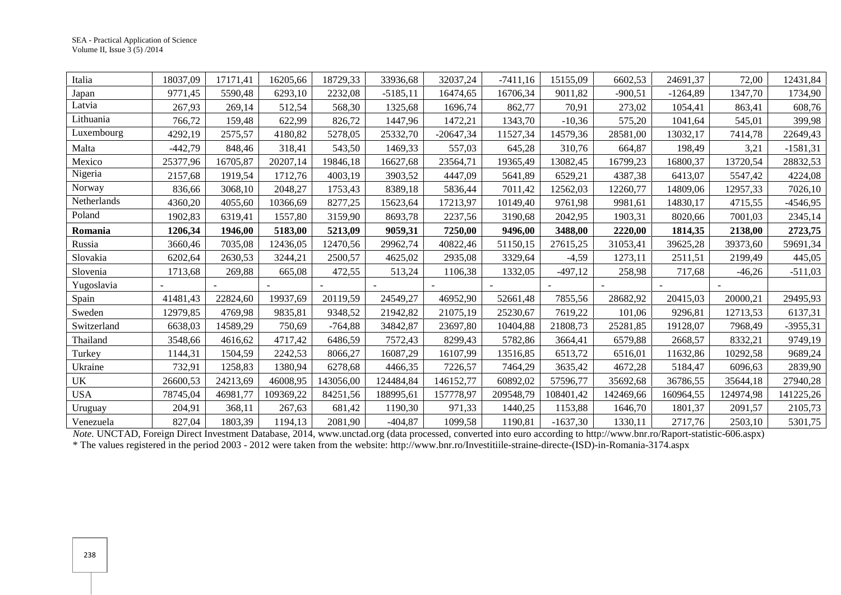| Italia      | 18037,09  | 17171,41 | 16205,66  | 18729,33  | 33936,68   | 32037,24    | $-7411,16$ | 15155,09   | 6602,53   | 24691,37   | 72,00     | 12431,84   |
|-------------|-----------|----------|-----------|-----------|------------|-------------|------------|------------|-----------|------------|-----------|------------|
| Japan       | 9771,45   | 5590,48  | 6293,10   | 2232,08   | $-5185,11$ | 16474,65    | 16706,34   | 9011,82    | $-900,51$ | $-1264,89$ | 1347,70   | 1734,90    |
| Latvia      | 267,93    | 269,14   | 512,54    | 568,30    | 1325,68    | 1696,74     | 862,77     | 70,91      | 273,02    | 1054,41    | 863,41    | 608,76     |
| Lithuania   | 766,72    | 159,48   | 622,99    | 826,72    | 1447,96    | 1472,21     | 1343,70    | $-10,36$   | 575,20    | 1041,64    | 545,01    | 399,98     |
| Luxembourg  | 4292,19   | 2575,57  | 4180,82   | 5278,05   | 25332,70   | $-20647,34$ | 11527,34   | 14579,36   | 28581,00  | 13032,17   | 7414,78   | 22649,43   |
| Malta       | $-442,79$ | 848,46   | 318,41    | 543,50    | 1469,33    | 557,03      | 645,28     | 310,76     | 664,87    | 198,49     | 3,21      | $-1581,31$ |
| Mexico      | 25377,96  | 16705,87 | 20207,14  | 19846,18  | 16627,68   | 23564,71    | 19365,49   | 13082,45   | 16799,23  | 16800,37   | 13720,54  | 28832,53   |
| Nigeria     | 2157,68   | 1919,54  | 1712,76   | 4003,19   | 3903,52    | 4447,09     | 5641,89    | 6529,21    | 4387,38   | 6413,07    | 5547,42   | 4224,08    |
| Norway      | 836,66    | 3068,10  | 2048,27   | 1753,43   | 8389,18    | 5836,44     | 7011,42    | 12562,03   | 12260,77  | 14809,06   | 12957,33  | 7026,10    |
| Netherlands | 4360,20   | 4055,60  | 10366,69  | 8277,25   | 15623,64   | 17213,97    | 10149,40   | 9761,98    | 9981,61   | 14830,17   | 4715,55   | $-4546,95$ |
| Poland      | 1902,83   | 6319,41  | 1557,80   | 3159,90   | 8693,78    | 2237,56     | 3190,68    | 2042,95    | 1903,31   | 8020,66    | 7001,03   | 2345,14    |
| Romania     | 1206,34   | 1946,00  | 5183,00   | 5213,09   | 9059,31    | 7250,00     | 9496,00    | 3488,00    | 2220,00   | 1814,35    | 2138,00   | 2723,75    |
| Russia      | 3660,46   | 7035,08  | 12436,05  | 12470,56  | 29962,74   | 40822,46    | 51150,15   | 27615,25   | 31053,41  | 39625,28   | 39373,60  | 59691,34   |
| Slovakia    | 6202,64   | 2630,53  | 3244,21   | 2500,57   | 4625,02    | 2935,08     | 3329,64    | $-4,59$    | 1273,11   | 2511,51    | 2199,49   | 445,05     |
| Slovenia    | 1713,68   | 269,88   | 665,08    | 472,55    | 513,24     | 1106,38     | 1332,05    | $-497,12$  | 258,98    | 717,68     | $-46,26$  | $-511,03$  |
| Yugoslavia  |           |          |           |           |            |             |            |            |           |            |           |            |
| Spain       | 41481,43  | 22824,60 | 19937,69  | 20119,59  | 24549,27   | 46952,90    | 52661,48   | 7855,56    | 28682,92  | 20415,03   | 20000,21  | 29495,93   |
| Sweden      | 12979,85  | 4769,98  | 9835,81   | 9348,52   | 21942,82   | 21075,19    | 25230,67   | 7619,22    | 101,06    | 9296,81    | 12713,53  | 6137,31    |
| Switzerland | 6638,03   | 14589,29 | 750,69    | $-764,88$ | 34842,87   | 23697,80    | 10404,88   | 21808,73   | 25281,85  | 19128,07   | 7968,49   | $-3955,31$ |
| Thailand    | 3548,66   | 4616,62  | 4717,42   | 6486,59   | 7572,43    | 8299,43     | 5782,86    | 3664,41    | 6579,88   | 2668,57    | 8332,21   | 9749,19    |
| Turkey      | 1144,31   | 1504,59  | 2242,53   | 8066,27   | 16087,29   | 16107,99    | 13516,85   | 6513,72    | 6516,01   | 11632,86   | 10292,58  | 9689,24    |
| Ukraine     | 732,91    | 1258,83  | 1380,94   | 6278,68   | 4466,35    | 7226,57     | 7464,29    | 3635,42    | 4672,28   | 5184,47    | 6096,63   | 2839,90    |
| <b>UK</b>   | 26600,53  | 24213,69 | 46008,95  | 143056,00 | 124484,84  | 146152,77   | 60892,02   | 57596,77   | 35692,68  | 36786,55   | 35644,18  | 27940,28   |
| <b>USA</b>  | 78745,04  | 46981,77 | 109369,22 | 84251,56  | 188995,61  | 157778,97   | 209548,79  | 108401,42  | 142469,66 | 160964,55  | 124974,98 | 141225,26  |
| Uruguay     | 204,91    | 368,11   | 267,63    | 681,42    | 1190,30    | 971,33      | 1440,25    | 1153,88    | 1646,70   | 1801,37    | 2091,57   | 2105,73    |
| Venezuela   | 827,04    | 1803,39  | 1194,13   | 2081,90   | $-404,87$  | 1099,58     | 1190,81    | $-1637,30$ | 1330,11   | 2717,76    | 2503,10   | 5301,75    |

*Note.* UNCTAD, Foreign Direct Investment Database, 2014, www.unctad.org (data processed, converted into euro according to http://www.bnr.ro/Raport-statistic-606.aspx)

\* The values registered in the period 2003 - 2012 were taken from the website: http://www.bnr.ro/Investitiile-straine-directe-(ISD)-in-Romania-3174.aspx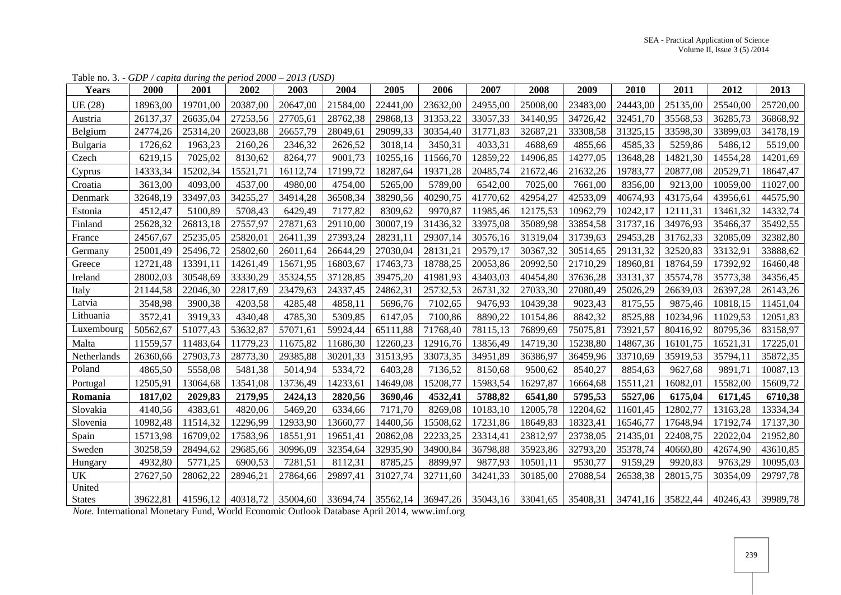| <b>Years</b>  | 2000     | 2001     | 2002     | 2003     | 2004     | 2005     | 2006     | 2007     | 2008     | 2009     | 2010     | 2011     | 2012     | 2013     |
|---------------|----------|----------|----------|----------|----------|----------|----------|----------|----------|----------|----------|----------|----------|----------|
| UE (28)       | 18963,00 | 19701,00 | 20387,00 | 20647,00 | 21584,00 | 22441,00 | 23632,00 | 24955,00 | 25008,00 | 23483,00 | 24443,00 | 25135,00 | 25540,00 | 25720,00 |
| Austria       | 26137,37 | 26635,04 | 27253,56 | 27705,61 | 28762,38 | 29868,13 | 31353,22 | 33057,33 | 34140,95 | 34726,42 | 32451,70 | 35568,53 | 36285,73 | 36868,92 |
| Belgium       | 24774,26 | 25314,20 | 26023,88 | 26657,79 | 28049,61 | 29099,33 | 30354,40 | 31771,83 | 32687,21 | 33308,58 | 31325,15 | 33598,30 | 33899,03 | 34178,19 |
| Bulgaria      | 1726,62  | 1963,23  | 2160,26  | 2346,32  | 2626,52  | 3018,14  | 3450,31  | 4033,31  | 4688,69  | 4855,66  | 4585,33  | 5259,86  | 5486,12  | 5519,00  |
| Czech         | 6219,15  | 7025,02  | 8130,62  | 8264,77  | 9001,73  | 10255,16 | 11566,70 | 12859,22 | 14906,85 | 14277,05 | 13648,28 | 14821,30 | 14554,28 | 14201,69 |
| Cyprus        | 14333,34 | 15202,34 | 15521,71 | 16112,74 | 17199,72 | 18287,64 | 19371,28 | 20485,74 | 21672,46 | 21632,26 | 19783,77 | 20877,08 | 20529,71 | 18647,47 |
| Croatia       | 3613,00  | 4093,00  | 4537,00  | 4980,00  | 4754,00  | 5265,00  | 5789,00  | 6542,00  | 7025,00  | 7661,00  | 8356,00  | 9213,00  | 10059,00 | 11027,00 |
| Denmark       | 32648,19 | 33497,03 | 34255,27 | 34914,28 | 36508,34 | 38290,56 | 40290,75 | 41770,62 | 42954,27 | 42533,09 | 40674,93 | 43175,64 | 43956,61 | 44575,90 |
| Estonia       | 4512,47  | 5100,89  | 5708,43  | 6429,49  | 7177,82  | 8309,62  | 9970,87  | 11985,46 | 12175,53 | 10962,79 | 10242,17 | 12111,31 | 13461,32 | 14332,74 |
| Finland       | 25628,32 | 26813,18 | 27557,97 | 27871,63 | 29110,00 | 30007,19 | 31436,32 | 33975,08 | 35089,98 | 33854,58 | 31737,16 | 34976,93 | 35466,37 | 35492,55 |
| France        | 24567,67 | 25235,05 | 25820,01 | 26411,39 | 27393,24 | 28231,11 | 29307,14 | 30576,16 | 31319,04 | 31739,63 | 29453,28 | 31762,33 | 32085,09 | 32382,80 |
| Germany       | 25001,49 | 25496,72 | 25802,60 | 26011,64 | 26644,29 | 27030,04 | 28131,21 | 29579,17 | 30367,32 | 30514,65 | 29131,32 | 32520,83 | 33132,91 | 33888,62 |
| Greece        | 12721,48 | 13391,11 | 14261,49 | 15671,95 | 16803,67 | 17463,73 | 18788,25 | 20053,86 | 20992,50 | 21710,29 | 18960,81 | 18764,59 | 17392,92 | 16460,48 |
| Ireland       | 28002,03 | 30548,69 | 33330,29 | 35324,55 | 37128,85 | 39475,20 | 41981,93 | 43403,03 | 40454,80 | 37636,28 | 33131,37 | 35574,78 | 35773,38 | 34356,45 |
| Italy         | 21144,58 | 22046,30 | 22817,69 | 23479,63 | 24337,45 | 24862,31 | 25732,53 | 26731,32 | 27033,30 | 27080,49 | 25026,29 | 26639,03 | 26397,28 | 26143,26 |
| Latvia        | 3548,98  | 3900,38  | 4203,58  | 4285,48  | 4858,11  | 5696,76  | 7102,65  | 9476,93  | 10439,38 | 9023,43  | 8175,55  | 9875,46  | 10818,15 | 11451,04 |
| Lithuania     | 3572,41  | 3919,33  | 4340,48  | 4785,30  | 5309,85  | 6147,05  | 7100,86  | 8890,22  | 10154,86 | 8842,32  | 8525,88  | 10234,96 | 11029,53 | 12051,83 |
| Luxembourg    | 50562,67 | 51077,43 | 53632,87 | 57071,61 | 59924,44 | 65111,88 | 71768,40 | 78115,13 | 76899,69 | 75075,81 | 73921,57 | 80416,92 | 80795,36 | 83158,97 |
| Malta         | 11559,57 | 11483,64 | 11779,23 | 11675,82 | 11686,30 | 12260,23 | 12916,76 | 13856,49 | 14719,30 | 15238,80 | 14867,36 | 16101,75 | 16521,31 | 17225,01 |
| Netherlands   | 26360,66 | 27903,73 | 28773,30 | 29385,88 | 30201,33 | 31513,95 | 33073,35 | 34951,89 | 36386,97 | 36459,96 | 33710,69 | 35919,53 | 35794,11 | 35872,35 |
| Poland        | 4865,50  | 5558,08  | 5481,38  | 5014,94  | 5334,72  | 6403,28  | 7136,52  | 8150,68  | 9500,62  | 8540,27  | 8854,63  | 9627,68  | 9891,71  | 10087,13 |
| Portugal      | 12505,91 | 13064,68 | 13541,08 | 13736,49 | 14233,61 | 14649,08 | 15208,77 | 15983,54 | 16297,87 | 16664,68 | 15511,21 | 16082,01 | 15582,00 | 15609,72 |
| Romania       | 1817,02  | 2029,83  | 2179,95  | 2424,13  | 2820,56  | 3690,46  | 4532,41  | 5788,82  | 6541,80  | 5795,53  | 5527,06  | 6175,04  | 6171,45  | 6710,38  |
| Slovakia      | 4140,56  | 4383,61  | 4820,06  | 5469,20  | 6334,66  | 7171,70  | 8269,08  | 10183,10 | 12005,78 | 12204,62 | 11601,45 | 12802,77 | 13163,28 | 13334,34 |
| Slovenia      | 10982,48 | 11514,32 | 12296,99 | 12933,90 | 13660,77 | 14400,56 | 15508,62 | 17231,86 | 18649,83 | 18323,41 | 16546,77 | 17648,94 | 17192,74 | 17137,30 |
| Spain         | 15713,98 | 16709.02 | 17583,96 | 18551,91 | 19651,41 | 20862,08 | 22233,25 | 23314,41 | 23812,97 | 23738,05 | 21435,01 | 22408,75 | 22022,04 | 21952,80 |
| Sweden        | 30258,59 | 28494,62 | 29685,66 | 30996,09 | 32354,64 | 32935,90 | 34900,84 | 36798,88 | 35923,86 | 32793,20 | 35378,74 | 40660,80 | 42674,90 | 43610,85 |
| Hungary       | 4932,80  | 5771,25  | 6900,53  | 7281,51  | 8112,31  | 8785,25  | 8899,97  | 9877,93  | 10501,11 | 9530,77  | 9159,29  | 9920,83  | 9763,29  | 10095,03 |
| <b>UK</b>     | 27627,50 | 28062,22 | 28946,21 | 27864,66 | 29897,41 | 31027,74 | 32711,60 | 34241,33 | 30185,00 | 27088,54 | 26538,38 | 28015,75 | 30354,09 | 29797,78 |
| United        |          |          |          |          |          |          |          |          |          |          |          |          |          |          |
| <b>States</b> | 39622,81 | 41596.12 | 40318,72 | 35004,60 | 33694,74 | 35562,14 | 36947,26 | 35043,16 | 33041,65 | 35408,31 | 34741,16 | 35822,44 | 40246,43 | 39989,78 |

Table no. 3. - *GDP / capita during the period 2000 – 2013 (USD)*

*Note.* International Monetary Fund, World Economic Outlook Database April 2014, www.imf.org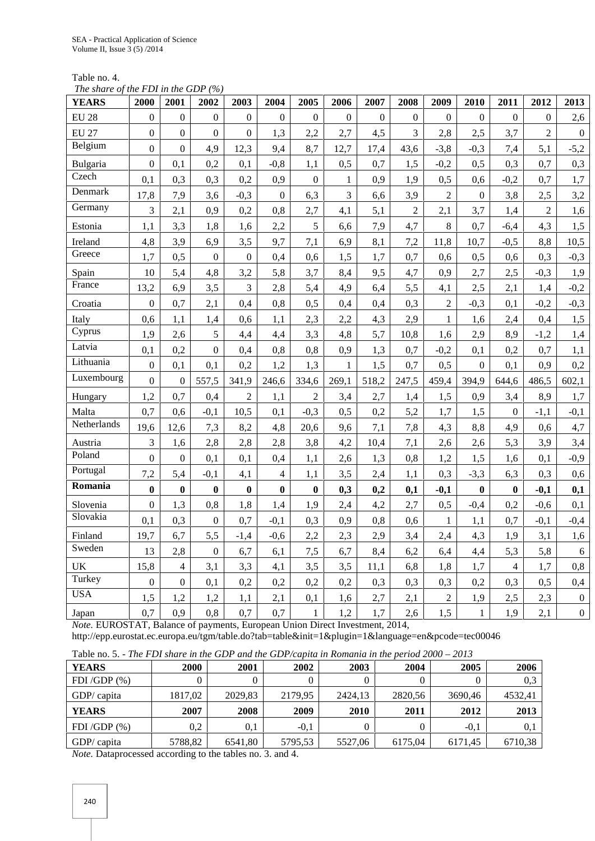Table no. 4.

*The share of the FDI in the GDP (%)*

| <b>YEARS</b> | 2000             | 2001           | 2002             | 2003             | 2004           | 2005           | 2006             | 2007             | 2008             | 2009           | 2010             | 2011             | 2012           | 2013             |
|--------------|------------------|----------------|------------------|------------------|----------------|----------------|------------------|------------------|------------------|----------------|------------------|------------------|----------------|------------------|
| <b>EU 28</b> | $\boldsymbol{0}$ | $\mathbf{0}$   | $\boldsymbol{0}$ | $\mathbf{0}$     | $\mathbf{0}$   | $\mathbf{0}$   | $\boldsymbol{0}$ | $\boldsymbol{0}$ | $\boldsymbol{0}$ | $\overline{0}$ | $\boldsymbol{0}$ | $\boldsymbol{0}$ | $\overline{0}$ | 2,6              |
| <b>EU 27</b> | $\boldsymbol{0}$ | $\overline{0}$ | $\overline{0}$   | $\boldsymbol{0}$ | 1,3            | 2,2            | 2,7              | 4,5              | 3                | 2,8            | 2,5              | 3,7              | $\overline{2}$ | $\mathbf{0}$     |
| Belgium      | $\overline{0}$   | $\overline{0}$ | 4,9              | 12,3             | 9,4            | 8,7            | 12,7             | 17,4             | 43,6             | $-3,8$         | $-0,3$           | 7,4              | 5,1            | $-5,2$           |
| Bulgaria     | $\mathbf{0}$     | 0,1            | 0,2              | 0,1              | $-0,8$         | 1,1            | 0,5              | 0,7              | 1,5              | $-0,2$         | 0,5              | 0,3              | 0,7            | 0,3              |
| Czech        | 0,1              | 0,3            | 0,3              | 0,2              | 0,9            | $\mathbf{0}$   | $\mathbf{1}$     | 0,9              | 1,9              | 0,5            | 0,6              | $-0,2$           | 0,7            | 1,7              |
| Denmark      | 17,8             | 7,9            | 3,6              | $-0,3$           | $\overline{0}$ | 6,3            | $\overline{3}$   | 6,6              | 3,9              | $\overline{2}$ | $\boldsymbol{0}$ | 3,8              | 2,5            | 3,2              |
| Germany      | 3                | 2,1            | 0,9              | 0,2              | 0,8            | 2,7            | 4,1              | 5,1              | $\overline{2}$   | 2,1            | 3,7              | 1,4              | $\overline{2}$ | 1,6              |
| Estonia      | 1,1              | 3,3            | 1,8              | 1,6              | 2,2            | 5              | 6,6              | 7,9              | 4,7              | $8\,$          | 0,7              | $-6,4$           | 4,3            | 1,5              |
| Ireland      | 4,8              | 3,9            | 6,9              | 3,5              | 9,7            | 7,1            | 6,9              | 8,1              | 7,2              | 11,8           | 10,7             | $-0,5$           | 8,8            | 10,5             |
| Greece       | 1,7              | 0,5            | $\boldsymbol{0}$ | $\boldsymbol{0}$ | 0,4            | 0,6            | 1,5              | 1,7              | 0,7              | 0,6            | 0,5              | 0,6              | 0,3            | $-0,3$           |
| Spain        | $10\,$           | 5,4            | 4,8              | 3,2              | 5,8            | 3,7            | 8,4              | 9,5              | 4,7              | 0,9            | 2,7              | 2,5              | $-0,3$         | 1,9              |
| France       | 13,2             | 6,9            | 3,5              | 3                | 2,8            | 5,4            | 4,9              | 6,4              | 5,5              | 4,1            | 2,5              | 2,1              | 1,4            | $-0,2$           |
| Croatia      | $\mathbf{0}$     | 0,7            | 2,1              | 0,4              | 0,8            | 0,5            | 0,4              | 0,4              | 0,3              | $\overline{c}$ | $-0,3$           | 0,1              | $-0,2$         | $-0,3$           |
| Italy        | 0,6              | 1,1            | 1,4              | 0,6              | 1,1            | 2,3            | 2,2              | 4,3              | 2,9              | $\mathbf{1}$   | 1,6              | 2,4              | 0,4            | 1,5              |
| Cyprus       | 1,9              | 2,6            | 5                | 4,4              | 4,4            | 3,3            | 4,8              | 5,7              | 10,8             | 1,6            | 2,9              | 8,9              | $-1,2$         | 1,4              |
| Latvia       | 0,1              | 0,2            | $\overline{0}$   | 0,4              | 0,8            | 0,8            | 0,9              | 1,3              | 0,7              | $-0,2$         | 0,1              | 0,2              | 0,7            | 1,1              |
| Lithuania    | $\mathbf{0}$     | 0,1            | 0,1              | 0,2              | 1,2            | 1,3            | $\mathbf{1}$     | 1,5              | 0,7              | 0,5            | $\boldsymbol{0}$ | 0,1              | 0,9            | 0,2              |
| Luxembourg   | $\overline{0}$   | $\overline{0}$ | 557,5            | 341,9            | 246,6          | 334,6          | 269,1            | 518,2            | 247,5            | 459,4          | 394,9            | 644,6            | 486,5          | 602,1            |
| Hungary      | 1,2              | 0,7            | 0,4              | $\overline{2}$   | 1,1            | $\overline{2}$ | 3,4              | 2,7              | 1,4              | 1,5            | 0,9              | 3,4              | 8,9            | 1,7              |
| Malta        | 0,7              | 0,6            | $-0,1$           | 10,5             | 0,1            | $-0,3$         | 0,5              | 0,2              | 5,2              | 1,7            | 1,5              | $\boldsymbol{0}$ | $-1,1$         | $-0,1$           |
| Netherlands  | 19,6             | 12,6           | 7,3              | 8,2              | 4,8            | 20,6           | 9,6              | 7,1              | 7,8              | 4,3            | 8,8              | 4,9              | 0,6            | 4,7              |
| Austria      | 3                | 1,6            | 2,8              | 2,8              | 2,8            | 3,8            | 4,2              | 10,4             | 7,1              | 2,6            | 2,6              | 5,3              | 3,9            | 3,4              |
| Poland       | $\overline{0}$   | $\overline{0}$ | 0,1              | 0,1              | 0,4            | 1,1            | 2,6              | 1,3              | 0,8              | 1,2            | 1,5              | 1,6              | 0,1            | $-0,9$           |
| Portugal     | 7,2              | 5,4            | $-0,1$           | 4,1              | $\overline{4}$ | 1,1            | 3,5              | 2,4              | 1,1              | 0,3            | $-3,3$           | 6,3              | 0,3            | 0,6              |
| Romania      | $\bf{0}$         | $\mathbf{0}$   | $\bf{0}$         | $\bf{0}$         | $\bf{0}$       | $\bf{0}$       | 0,3              | 0,2              | 0,1              | $-0,1$         | $\bf{0}$         | $\bf{0}$         | $-0,1$         | 0,1              |
| Slovenia     | $\mathbf{0}$     | 1,3            | 0,8              | 1,8              | 1,4            | 1,9            | 2,4              | 4,2              | 2,7              | 0,5            | $-0,4$           | 0,2              | $-0,6$         | 0,1              |
| Slovakia     | 0,1              | 0,3            | $\boldsymbol{0}$ | 0,7              | $-0,1$         | 0,3            | 0,9              | 0,8              | 0,6              | $\mathbf{1}$   | 1,1              | 0,7              | $-0,1$         | $-0,4$           |
| Finland      | 19,7             | 6,7            | 5,5              | $-1,4$           | $-0,6$         | 2,2            | 2,3              | 2,9              | 3,4              | 2,4            | 4,3              | 1,9              | 3,1            | 1,6              |
| Sweden       | 13               | 2,8            | $\overline{0}$   | 6,7              | 6,1            | 7,5            | 6,7              | 8,4              | 6,2              | 6,4            | 4,4              | 5,3              | 5,8            | 6                |
| <b>UK</b>    | 15,8             | $\overline{4}$ | 3,1              | 3,3              | 4,1            | 3,5            | 3,5              | 11,1             | 6,8              | 1,8            | 1,7              | $\overline{4}$   | 1,7            | 0,8              |
| Turkey       | $\mathbf{0}$     | $\overline{0}$ | 0,1              | 0,2              | 0,2            | 0,2            | 0,2              | 0,3              | 0,3              | 0,3            | 0,2              | 0,3              | 0,5            | 0,4              |
| <b>USA</b>   | 1,5              | 1,2            | 1,2              | 1,1              | 2,1            | 0,1            | 1,6              | 2,7              | 2,1              | $\overline{2}$ | 1,9              | 2,5              | 2,3            | $\boldsymbol{0}$ |
| Japan        | 0,7              | 0.9            | 0,8              | 0,7              | 0,7            | $\mathbf{1}$   | 1,2              | 1,7              | 2,6              | 1,5            | $\mathbf{1}$     | 1,9              | 2,1            | $\boldsymbol{0}$ |

*Note.* EUROSTAT, Balance of payments, European Union Direct Investment, 2014,

http://epp.eurostat.ec.europa.eu/tgm/table.do?tab=table&init=1&plugin=1&language=en&pcode=tec00046

|  |  |  |  | Table no. 5. - The FDI share in the GDP and the GDP/capita in Romania in the period $2000 - 2013$ |  |  |
|--|--|--|--|---------------------------------------------------------------------------------------------------|--|--|
|  |  |  |  |                                                                                                   |  |  |

| <b>YEARS</b>      | <b>2000</b> | 2001    | 2002    | 2003        | 2004    | 2005    | 2006    |
|-------------------|-------------|---------|---------|-------------|---------|---------|---------|
| FDI/GDP $(\%)$    |             |         | 0       | 0           |         |         | 0,3     |
| GDP/ capita       | 1817,02     | 2029,83 | 2179,95 | 2424,13     | 2820,56 | 3690,46 | 4532,41 |
| <b>YEARS</b>      | 2007        | 2008    | 2009    | <b>2010</b> | 2011    | 2012    | 2013    |
| FDI $/GDP$ $(\%)$ | 0.2         | 0.1     | $-0.1$  | 0           |         | $-0.1$  | 0,1     |
| GDP/ capita       | 5788,82     | 6541,80 | 5795,53 | 5527,06     | 6175,04 | 6171,45 | 6710,38 |

*Note.* Dataprocessed according to the tables no. 3. and 4.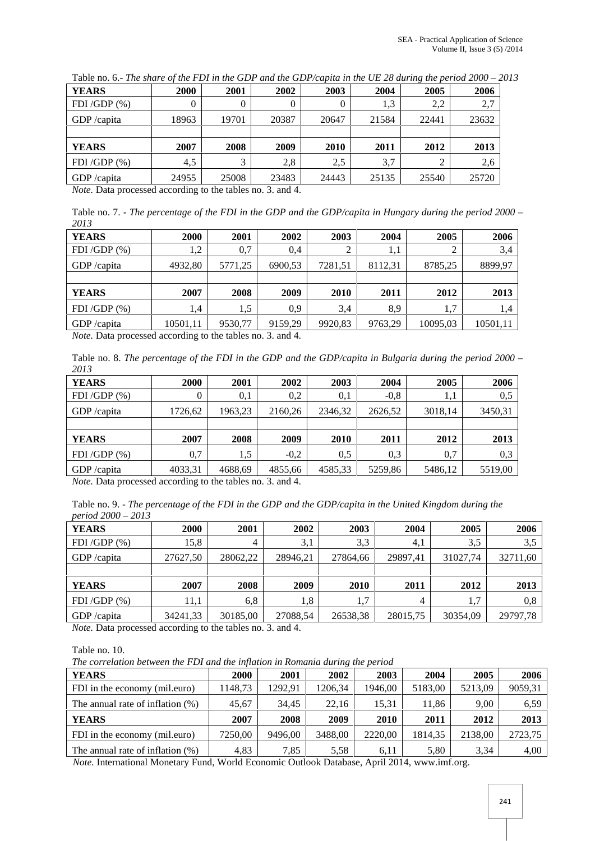| <b>YEARS</b>   | 2000  | 2001  | 2002  | 2003  | 2004  | 2005  | 2006  |
|----------------|-------|-------|-------|-------|-------|-------|-------|
| FDI/GDP $(\%)$ |       | 0     | 0     | 0     | 1.3   | 2,2   | 2,7   |
| GDP /capita    | 18963 | 19701 | 20387 | 20647 | 21584 | 22441 | 23632 |
|                |       |       |       |       |       |       |       |
| <b>YEARS</b>   | 2007  | 2008  | 2009  | 2010  | 2011  | 2012  | 2013  |
| FDI/GDP $(\%)$ | 4,5   | 3     | 2,8   | 2.5   | 3,7   | ◠     | 2,6   |
| GDP /capita    | 24955 | 25008 | 23483 | 24443 | 25135 | 25540 | 25720 |

Table no. 6.- *The share of the FDI in the GDP and the GDP/capita in the UE 28 during the period 2000 – 2013*

*Note.* Data processed according to the tables no. 3. and 4.

Table no. 7. - *The percentage of the FDI in the GDP and the GDP/capita in Hungary during the period 2000 – 2013*

| <b>YEARS</b>              | 2000     | 2001    | 2002                 | 2003    | 2004    | 2005     | 2006     |
|---------------------------|----------|---------|----------------------|---------|---------|----------|----------|
| FDI /GDP $(\%)$           | 1.2      | 0.7     | 0.4                  |         | 1,1     | 2        | 3,4      |
| GDP /capita               | 4932,80  | 5771,25 | 6900.53              | 7281,51 | 8112,31 | 8785,25  | 8899,97  |
|                           |          |         |                      |         |         |          |          |
| <b>YEARS</b>              | 2007     | 2008    | 2009                 | 2010    | 2011    | 2012     | 2013     |
| FDI/GDP $(\%)$            | 1.4      | 1,5     | 0,9                  | 3.4     | 8,9     | 1,7      | 1,4      |
| GDP /capita               | 10501,11 | 9530.77 | 9159,29              | 9920.83 | 9763,29 | 10095,03 | 10501,11 |
| $\mathbf{v}$ $\mathbf{v}$ | $\cdot$  |         | $\sim$ $\sim$ $\sim$ |         |         |          |          |

*Note.* Data processed according to the tables no. 3. and 4.

Table no. 8. *The percentage of the FDI in the GDP and the GDP/capita in Bulgaria during the period 2000 – 2013*

| <b>YEARS</b>   | <b>2000</b> | 2001    | 2002    | 2003    | 2004    | 2005    | 2006    |
|----------------|-------------|---------|---------|---------|---------|---------|---------|
| FDI/GDP $(\%)$ | 0           | 0.1     | 0,2     | 0.1     | $-0.8$  | 1,1     | 0,5     |
| GDP /capita    | 1726,62     | 1963,23 | 2160.26 | 2346.32 | 2626,52 | 3018,14 | 3450,31 |
|                |             |         |         |         |         |         |         |
| <b>YEARS</b>   | 2007        | 2008    | 2009    | 2010    | 2011    | 2012    | 2013    |
| FDI/GDP $(\%)$ | 0,7         | 1,5     | $-0.2$  | 0.5     | 0.3     | 0,7     | 0,3     |
| GDP /capita    | 4033,31     | 4688,69 | 4855,66 | 4585,33 | 5259,86 | 5486,12 | 5519,00 |

*Note.* Data processed according to the tables no. 3. and 4.

Table no. 9. - *The percentage of the FDI in the GDP and the GDP/capita in the United Kingdom during the period 2000 – 2013*

| <b>YEARS</b>    | 2000     | 2001     | 2002     | 2003        | 2004     | 2005     | 2006     |
|-----------------|----------|----------|----------|-------------|----------|----------|----------|
| FDI /GDP $(\%)$ | 15,8     | 4        | 3,1      | 3,3         | 4,1      | 3.5      | 3,5      |
| GDP /capita     | 27627,50 | 28062.22 | 28946,21 | 27864,66    | 29897,41 | 31027,74 | 32711,60 |
|                 |          |          |          |             |          |          |          |
| <b>YEARS</b>    | 2007     | 2008     | 2009     | <b>2010</b> | 2011     | 2012     | 2013     |
| FDI /GDP $(\%)$ | 11.1     | 6,8      | 1,8      | 1,7         | 4        | 1,7      | 0,8      |
| GDP /capita     | 34241,33 | 30185,00 | 27088,54 | 26538,38    | 28015,75 | 30354,09 | 29797,78 |

*Note.* Data processed according to the tables no. 3. and 4.

Table no. 10.

*The correlation between the FDI and the inflation in Romania during the period*

| <b>2000</b> | 2001    | 2002        | 2003        | 2004    | 2005    | 2006                         |
|-------------|---------|-------------|-------------|---------|---------|------------------------------|
| 1148,73     | 1292.91 | 1206.34     | 1946.00     | 5183.00 | 5213,09 | 9059,31                      |
| 45.67       | 34.45   | 22.16       | 15,31       | 11.86   | 9,00    | 6,59                         |
| 2007        | 2008    | <b>2009</b> | <b>2010</b> | 2011    | 2012    | 2013                         |
| 7250.00     | 9496.00 | 3488.00     | 2220.00     | 1814.35 | 2138.00 | 2723.75                      |
| 4.83        | 7.85    |             |             |         |         | 4,00                         |
|             |         |             |             |         |         | 3.34<br>5,80<br>6.11<br>5.58 |

*Note.* International Monetary Fund, World Economic Outlook Database, April 2014, www.imf.org.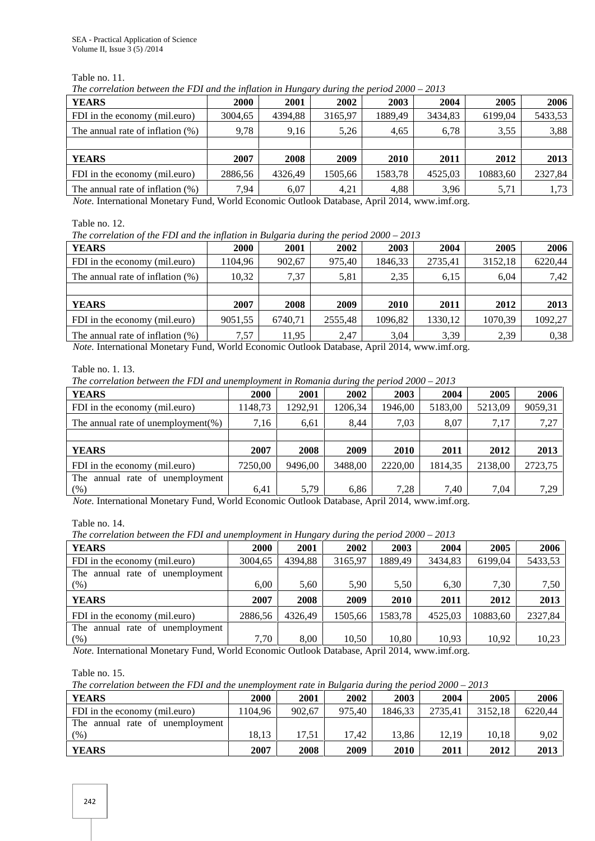Table no. 11.

*The correlation between the FDI and the inflation in Hungary during the period 2000 – 2013*

| 2000<br>3004.65<br>9.78 | 2001<br>4394.88<br>9.16 | 2002<br>3165.97<br>5,26 | 2003<br>1889.49<br>4,65 | 2004<br>3434.83<br>6,78 | 2005<br>6199.04<br>3,55 | 2006<br>5433,53<br>3,88 |
|-------------------------|-------------------------|-------------------------|-------------------------|-------------------------|-------------------------|-------------------------|
|                         |                         |                         |                         |                         |                         |                         |
|                         |                         |                         |                         |                         |                         |                         |
|                         |                         |                         |                         |                         |                         |                         |
|                         |                         |                         |                         |                         |                         |                         |
| 2007                    | 2008                    | 2009                    | 2010                    | 2011                    | 2012                    | 2013                    |
| 2886,56                 | 4326.49                 | 1505,66                 | 1583,78                 | 4525,03                 | 10883,60                | 2327,84                 |
| 7.94                    | 6.07                    | 4.21                    | 4,88                    | 3,96                    | 5,71                    | 1,73                    |
|                         |                         |                         |                         |                         |                         |                         |

*Note.* International Monetary Fund, World Economic Outlook Database, April 2014, www.imf.org.

Table no. 12.

*The correlation of the FDI and the inflation in Bulgaria during the period 2000 – 2013*

|                                     |         |         | $\cdot$ |         |         |         |         |
|-------------------------------------|---------|---------|---------|---------|---------|---------|---------|
| <b>YEARS</b>                        | 2000    | 2001    | 2002    | 2003    | 2004    | 2005    | 2006    |
| FDI in the economy (mil.euro)       | 1104.96 | 902,67  | 975.40  | 1846,33 | 2735,41 | 3152,18 | 6220,44 |
| The annual rate of inflation $(\%)$ | 10,32   | 7,37    | 5,81    | 2,35    | 6,15    | 6,04    | 7,42    |
|                                     |         |         |         |         |         |         |         |
| <b>YEARS</b>                        | 2007    | 2008    | 2009    | 2010    | 2011    | 2012    | 2013    |
| FDI in the economy (mil.euro)       | 9051,55 | 6740,71 | 2555.48 | 1096,82 | 1330,12 | 1070,39 | 1092,27 |
| The annual rate of inflation $(\%)$ | 7,57    | 11.95   | 2,47    | 3,04    | 3,39    | 2,39    | 0,38    |

*Note.* International Monetary Fund, World Economic Outlook Database, April 2014, www.imf.org.

| Table no. 1, 13.                                                                            |  |
|---------------------------------------------------------------------------------------------|--|
| The correlation between the FDI and unemployment in Romania during the period $2000 - 2013$ |  |

| <b>2000</b> | 2001    | 2002    | 2003        | 2004    | 2005    | 2006    |  |  |  |  |  |
|-------------|---------|---------|-------------|---------|---------|---------|--|--|--|--|--|
| 1148.73     | 1292,91 | 1206.34 | 1946.00     | 5183,00 | 5213,09 | 9059,31 |  |  |  |  |  |
| 7,16        | 6,61    | 8.44    | 7,03        | 8.07    | 7,17    | 7,27    |  |  |  |  |  |
|             |         |         |             |         |         |         |  |  |  |  |  |
| 2007        | 2008    | 2009    | <b>2010</b> | 2011    | 2012    | 2013    |  |  |  |  |  |
| 7250,00     | 9496.00 | 3488.00 | 2220.00     | 1814,35 | 2138,00 | 2723,75 |  |  |  |  |  |
|             |         |         |             |         |         |         |  |  |  |  |  |
| 6.41        | 5,79    | 6,86    | 7,28        | 7.40    | 7,04    | 7,29    |  |  |  |  |  |
|             |         |         |             |         |         |         |  |  |  |  |  |

*Note.* International Monetary Fund, World Economic Outlook Database, April 2014, www.imf.org.

Table no. 14.

*The correlation between the FDI and unemployment in Hungary during the period 2000 – 2013*

| <b>2000</b> | 2001    | 2002    | 2003        | 2004    | 2005     | 2006    |
|-------------|---------|---------|-------------|---------|----------|---------|
| 3004.65     | 4394.88 | 3165.97 | 1889.49     | 3434,83 | 6199.04  | 5433,53 |
|             |         |         |             |         |          |         |
| 6.00        | 5,60    | 5.90    | 5.50        | 6,30    | 7,30     | 7,50    |
| 2007        | 2008    | 2009    | <b>2010</b> | 2011    | 2012     | 2013    |
| 2886.56     | 4326.49 | 1505.66 | 1583,78     | 4525,03 | 10883.60 | 2327,84 |
|             |         |         |             |         |          |         |
| 7.70        | 8.00    | 10.50   | 10.80       | 10,93   | 10,92    | 10,23   |
|             |         |         |             |         |          |         |

*Note.* International Monetary Fund, World Economic Outlook Database, April 2014, www.imf.org.

Table no. 15.

*The correlation between the FDI and the unemployment rate in Bulgaria during the period 2000 – 2013*

| <b>YEARS</b>                    | 2000   | 2001   | 2002   | 2003    | 2004    | 2005    | 2006    |
|---------------------------------|--------|--------|--------|---------|---------|---------|---------|
| FDI in the economy (mil.euro)   | 104.96 | 902.67 | 975.40 | 1846.33 | 2735.41 | 3152.18 | 6220.44 |
| The annual rate of unemployment |        |        |        |         |         |         |         |
| (% )                            | 18.13  | 17.51  | 17.42  | 13.86   | 12.19   | 10.18   | 9,02    |
| <b>YEARS</b>                    | 2007   | 2008   | 2009   | 2010    | 2011    | 2012    | 2013    |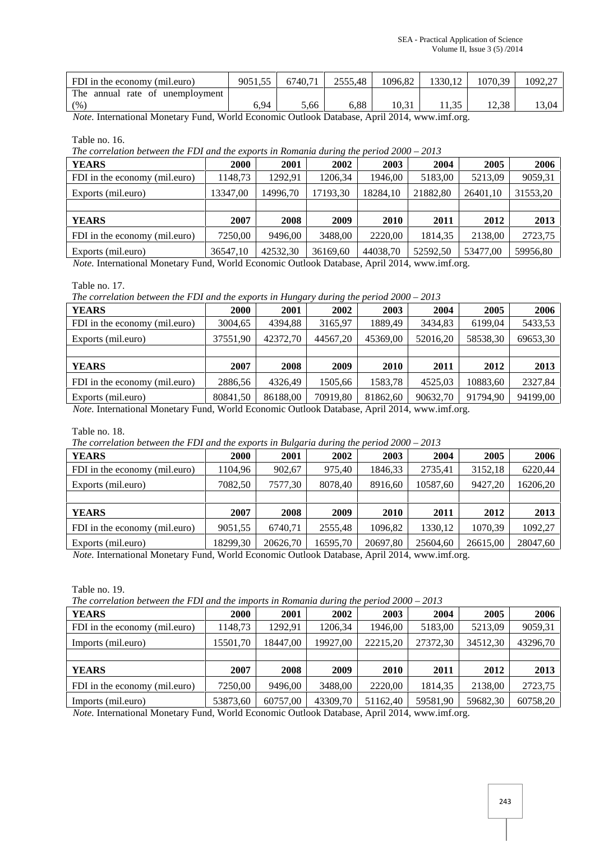| FDI in the economy (mil.euro)   | 9051.55 | 6740.71 | 2555.48 | 1096.82 | 1330.12 | 1070.39 | 1092.27 |
|---------------------------------|---------|---------|---------|---------|---------|---------|---------|
| The annual rate of unemployment |         |         |         |         |         |         |         |
| (96)                            | 5.94    | 5,66    | .88     | 10.31   |         | 12.38   | 13.04   |

*Note.* International Monetary Fund, World Economic Outlook Database, April 2014, www.imf.org.

Table no. 16.

*The correlation between the FDI and the exports in Romania during the period 2000 – 2013*

| <b>YEARS</b>                  | <b>2000</b> | 2001     | 2002        | 2003     | 2004     | 2005     | 2006     |
|-------------------------------|-------------|----------|-------------|----------|----------|----------|----------|
| FDI in the economy (mil.euro) | 1148,73     | 1292.91  | 1206,34     | 1946,00  | 5183,00  | 5213,09  | 9059,31  |
| Exports (mil.euro)            | 13347,00    | 14996.70 | 17193,30    | 18284,10 | 21882,80 | 26401,10 | 31553,20 |
|                               |             |          |             |          |          |          |          |
| <b>YEARS</b>                  | 2007        | 2008     | <b>2009</b> | 2010     | 2011     | 2012     | 2013     |
| FDI in the economy (mil.euro) | 7250.00     | 9496.00  | 3488.00     | 2220.00  | 1814.35  | 2138,00  | 2723,75  |
| Exports (mil.euro)            | 36547.10    | 42532.30 | 36169.60    | 44038.70 | 52592,50 | 53477.00 | 59956,80 |

*Note.* International Monetary Fund, World Economic Outlook Database, April 2014, www.imf.org.

Table no. 17.

*The correlation between the FDI and the exports in Hungary during the period 2000 – 2013*

| <b>2000</b> | 2001     | 2002                 | 2003     | 2004     | 2005     | 2006     |
|-------------|----------|----------------------|----------|----------|----------|----------|
| 3004,65     | 4394,88  | 3165.97              | 1889.49  | 3434,83  | 6199.04  | 5433,53  |
| 37551.90    | 42372.70 | 44567.20             | 45369.00 | 52016.20 | 58538,30 | 69653,30 |
|             |          |                      |          |          |          |          |
| 2007        | 2008     | <b>2009</b>          | 2010     | 2011     | 2012     | 2013     |
| 2886,56     | 4326.49  | 1505,66              | 1583,78  | 4525.03  | 10883,60 | 2327,84  |
|             |          | 70919.80             | 81862.60 | 90632.70 | 91794.90 | 94199,00 |
|             |          | 80841.50<br>86188.00 |          |          |          |          |

*Note.* International Monetary Fund, World Economic Outlook Database, April 2014, www.imf.org.

Table no. 18.

*The correlation between the FDI and the exports in Bulgaria during the period 2000 – 2013*

| <b>YEARS</b>                  | 2000     | 2001     | 2002        | 2003     | 2004     | 2005     | 2006     |
|-------------------------------|----------|----------|-------------|----------|----------|----------|----------|
| FDI in the economy (mil.euro) | 1104.96  | 902,67   | 975,40      | 1846,33  | 2735,41  | 3152,18  | 6220,44  |
| Exports (mil.euro)            | 7082.50  | 7577.30  | 8078,40     | 8916.60  | 10587,60 | 9427.20  | 16206,20 |
|                               |          |          |             |          |          |          |          |
| <b>YEARS</b>                  | 2007     | 2008     | <b>2009</b> | 2010     | 2011     | 2012     | 2013     |
| FDI in the economy (mil.euro) | 9051,55  | 6740.71  | 2555.48     | 1096.82  | 1330.12  | 1070.39  | 1092,27  |
| Exports (mil.euro)            | 18299.30 | 20626.70 | 16595.70    | 20697.80 | 25604.60 | 26615.00 | 28047.60 |

*Note.* International Monetary Fund, World Economic Outlook Database, April 2014, www.imf.org.

Table no. 19.

*The correlation between the FDI and the imports in Romania during the period 2000 – 2013*

| <b>YEARS</b>                  | <b>2000</b> | 2001     | 2002     | 2003     | 2004     | 2005     | 2006     |
|-------------------------------|-------------|----------|----------|----------|----------|----------|----------|
| FDI in the economy (mil.euro) | 1148.73     | 1292.91  | 1206,34  | 1946,00  | 5183,00  | 5213,09  | 9059,31  |
| Imports (mil.euro)            | 15501,70    | 18447.00 | 19927.00 | 22215,20 | 27372,30 | 34512.30 | 43296,70 |
|                               |             |          |          |          |          |          |          |
| <b>YEARS</b>                  | 2007        | 2008     | 2009     | 2010     | 2011     | 2012     | 2013     |
| FDI in the economy (mil.euro) | 7250.00     | 9496.00  | 3488.00  | 2220.00  | 1814.35  | 2138,00  | 2723,75  |
| Imports (mil.euro)            | 53873,60    | 60757.00 | 43309.70 | 51162,40 | 59581,90 | 59682.30 | 60758,20 |

*Note.* International Monetary Fund, World Economic Outlook Database, April 2014, www.imf.org.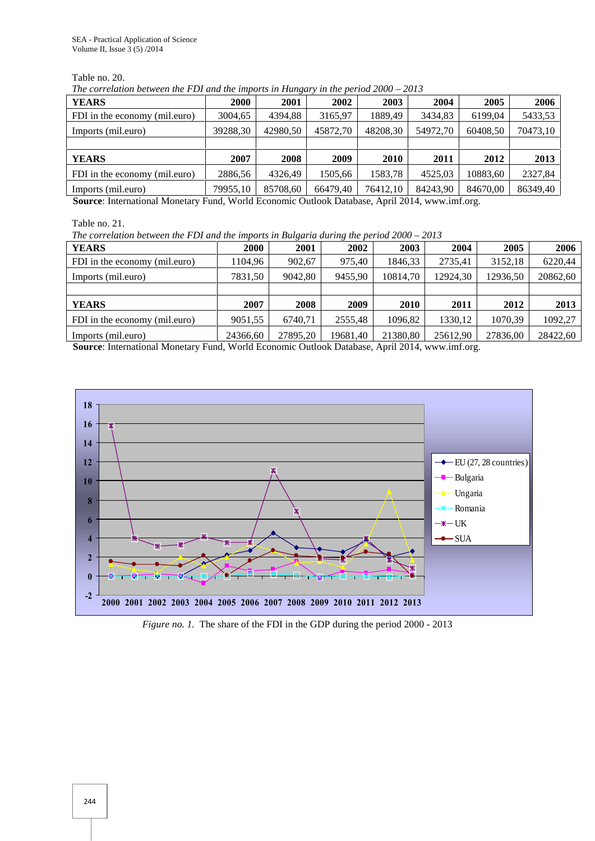Table no. 20.

*The correlation between the FDI and the imports in Hungary in the period 2000 – 2013*

| <b>2000</b> | 2001     | 2002        | 2003     | 2004     | 2005     | 2006     |  |  |  |  |  |
|-------------|----------|-------------|----------|----------|----------|----------|--|--|--|--|--|
| 3004,65     | 4394,88  | 3165,97     | 1889.49  | 3434,83  | 6199.04  | 5433,53  |  |  |  |  |  |
| 39288,30    | 42980,50 | 45872,70    | 48208,30 | 54972,70 | 60408,50 | 70473,10 |  |  |  |  |  |
|             |          |             |          |          |          |          |  |  |  |  |  |
| 2007        | 2008     | <b>2009</b> | 2010     | 2011     | 2012     | 2013     |  |  |  |  |  |
| 2886,56     | 4326.49  | 1505,66     | 1583,78  | 4525.03  | 10883,60 | 2327,84  |  |  |  |  |  |
| 79955.10    | 85708.60 | 66479.40    | 76412.10 | 84243.90 | 84670.00 | 86349,40 |  |  |  |  |  |
|             |          |             |          |          |          |          |  |  |  |  |  |

**Source**: International Monetary Fund, World Economic Outlook Database, April 2014, www.imf.org.

Table no. 21.

*The correlation between the FDI and the imports in Bulgaria during the period 2000 – 2013*

|                               |          | $\sim$   |          |          |          |          |          |
|-------------------------------|----------|----------|----------|----------|----------|----------|----------|
| <b>YEARS</b>                  | 2000     | 2001     | 2002     | 2003     | 2004     | 2005     | 2006     |
| FDI in the economy (mil.euro) | 1104.96  | 902.67   | 975.40   | 1846.33  | 2735,41  | 3152,18  | 6220,44  |
| Imports (mil.euro)            | 7831,50  | 9042.80  | 9455.90  | 10814.70 | 12924.30 | 12936,50 | 20862,60 |
|                               |          |          |          |          |          |          |          |
| <b>YEARS</b>                  | 2007     | 2008     | 2009     | 2010     | 2011     | 2012     | 2013     |
| FDI in the economy (mil.euro) | 9051,55  | 6740.71  | 2555.48  | 1096.82  | 1330,12  | 1070.39  | 1092,27  |
| Imports (mil.euro)            | 24366.60 | 27895.20 | 19681.40 | 21380.80 | 25612.90 | 27836,00 | 28422.60 |

**Source**: International Monetary Fund, World Economic Outlook Database, April 2014, www.imf.org.



*Figure no. 1.* The share of the FDI in the GDP during the period 2000 - 2013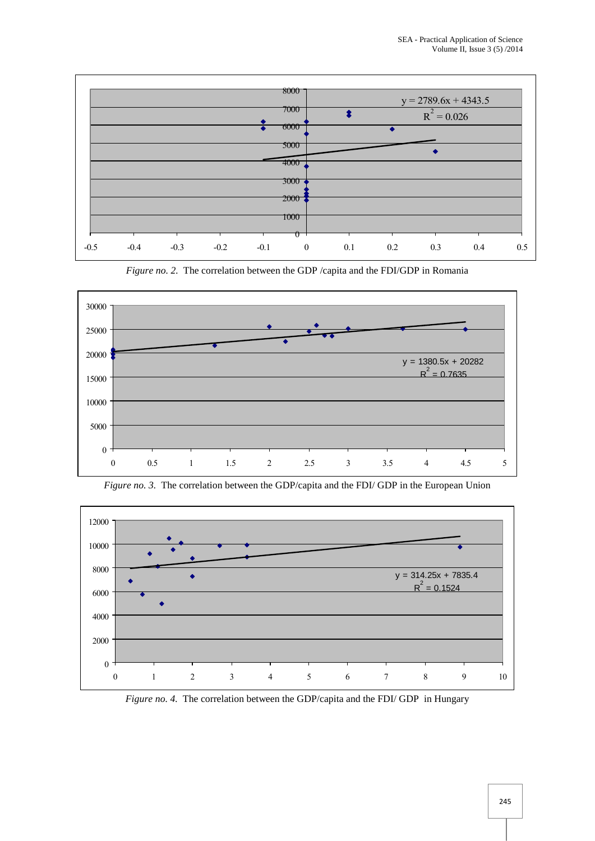

*Figure no. 2.* The correlation between the GDP /capita and the FDI/GDP in Romania





*Figure no. 3.* The correlation between the GDP/capita and the FDI/ GDP in the European Union

*Figure no. 4.* The correlation between the GDP/capita and the FDI/ GDP in Hungary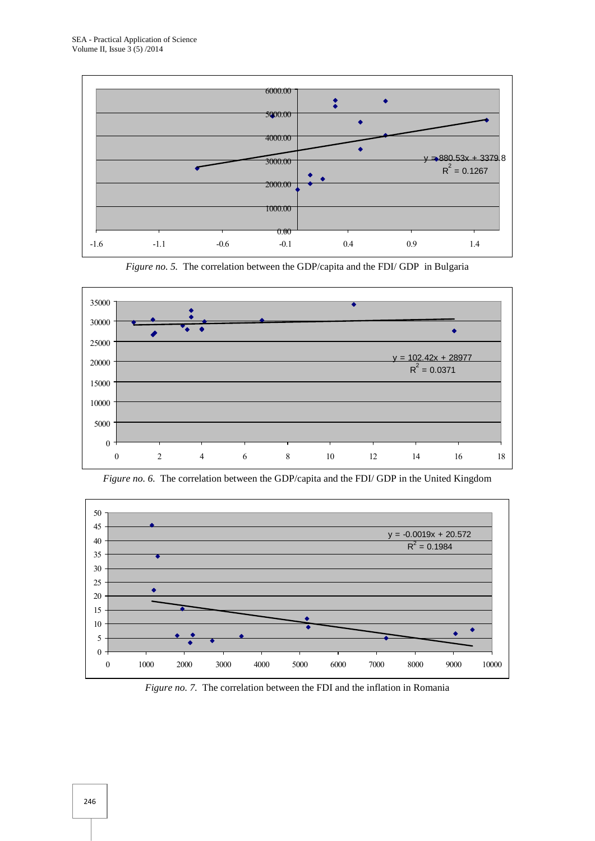







*Figure no. 6.* The correlation between the GDP/capita and the FDI/ GDP in the United Kingdom

*Figure no. 7.* The correlation between the FDI and the inflation in Romania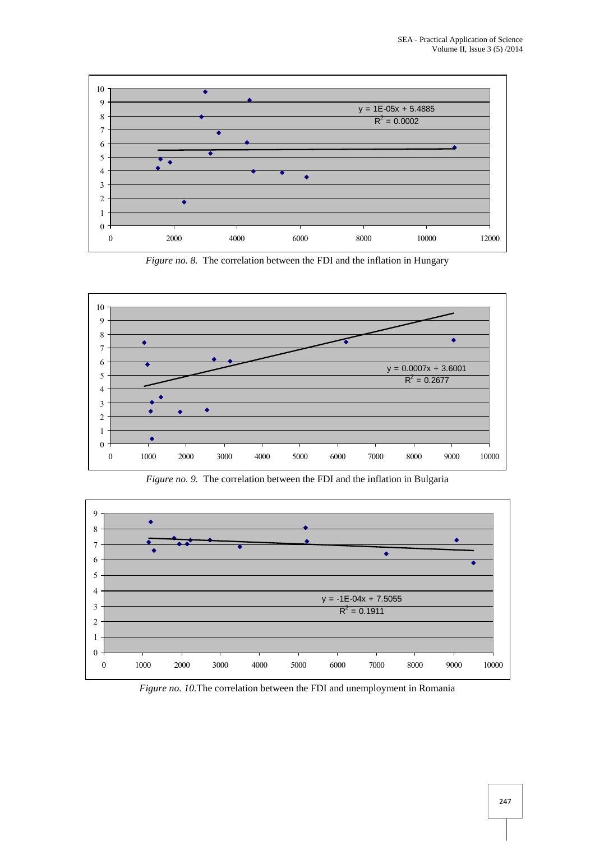

*Figure no. 8.* The correlation between the FDI and the inflation in Hungary







*Figure no. 10.*The correlation between the FDI and unemployment in Romania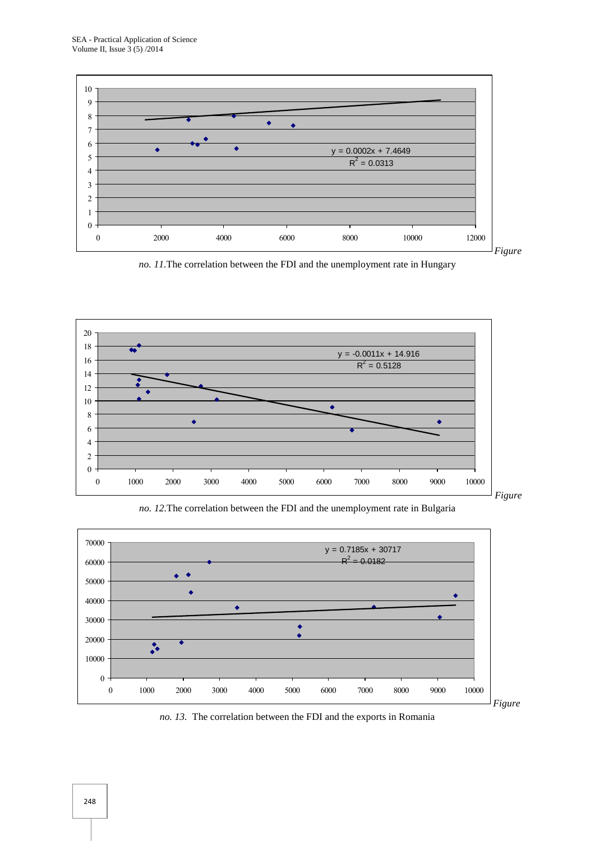

*no. 11.*The correlation between the FDI and the unemployment rate in Hungary



*no. 12.*The correlation between the FDI and the unemployment rate in Bulgaria



*no. 13.* The correlation between the FDI and the exports in Romania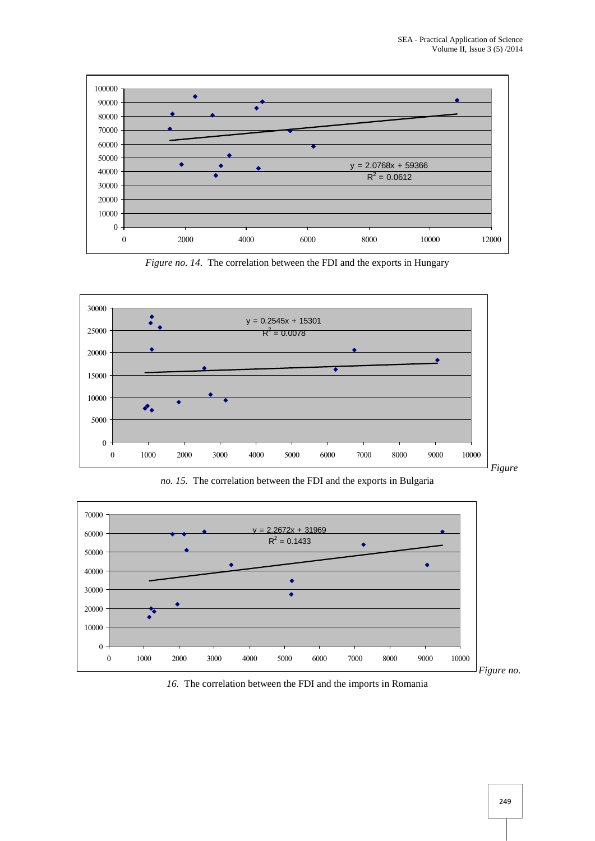

*Figure no. 14.* The correlation between the FDI and the exports in Hungary







*16.* The correlation between the FDI and the imports in Romania